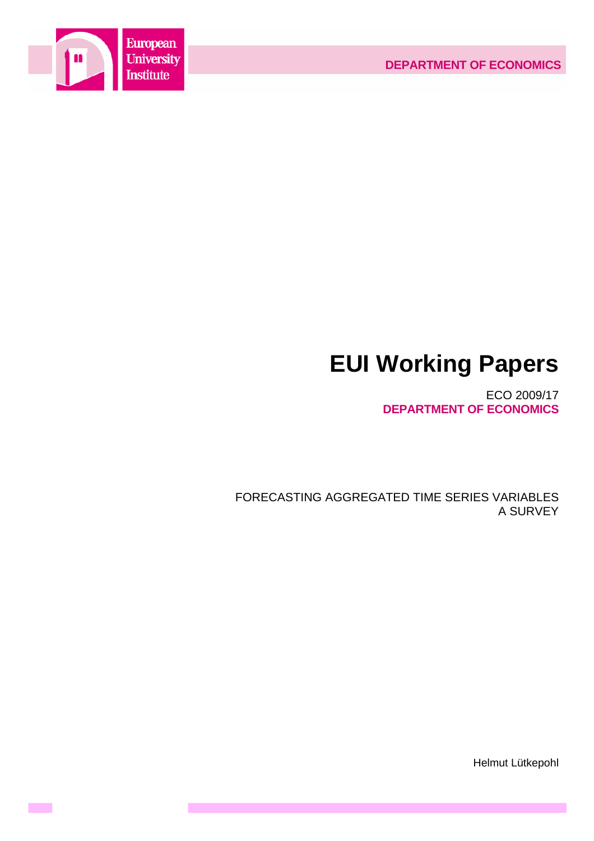



**Contract** 

# **EUI Working Papers**

ECO 2009/17 **DEPARTMENT OF ECONOMICS**

FORECASTING AGGREGATED TIME SERIES VARIABLES A SURVEY

Helmut Lütkepohl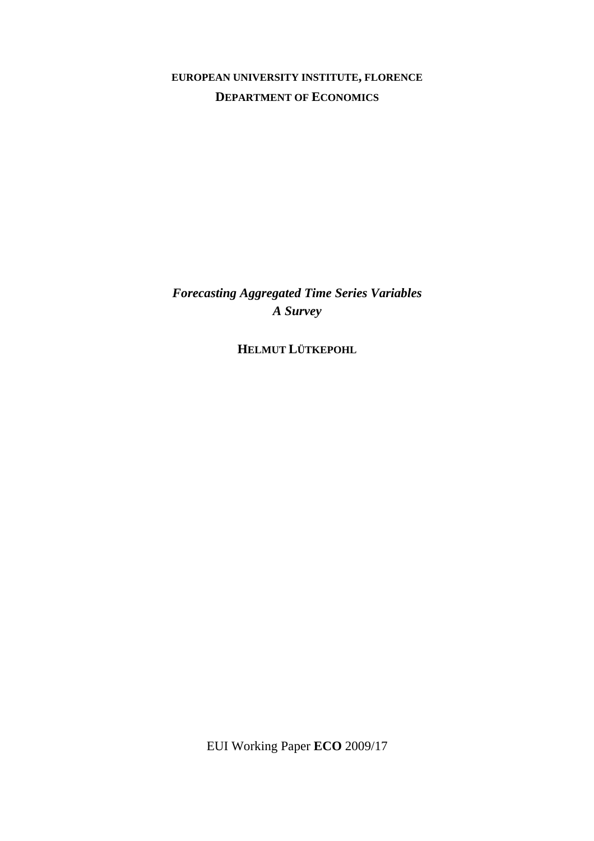## **EUROPEAN UNIVERSITY INSTITUTE, FLORENCE DEPARTMENT OF ECONOMICS**

*Forecasting Aggregated Time Series Variables A Survey* 

**HELMUT LÜTKEPOHL**

EUI Working Paper **ECO** 2009/17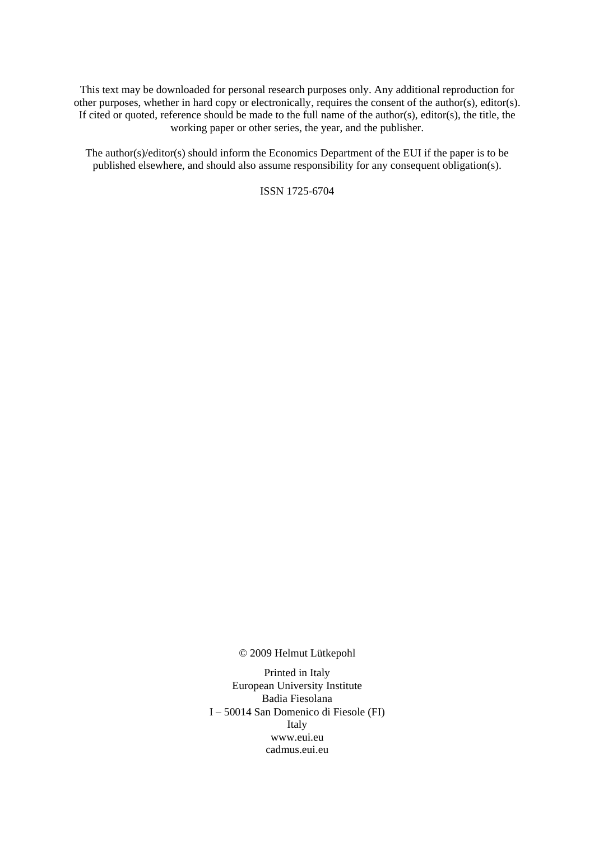This text may be downloaded for personal research purposes only. Any additional reproduction for other purposes, whether in hard copy or electronically, requires the consent of the author(s), editor(s). If cited or quoted, reference should be made to the full name of the author(s), editor(s), the title, the working paper or other series, the year, and the publisher.

The author(s)/editor(s) should inform the Economics Department of the EUI if the paper is to be published elsewhere, and should also assume responsibility for any consequent obligation(s).

ISSN 1725-6704

© 2009 Helmut Lütkepohl

Printed in Italy European University Institute Badia Fiesolana I – 50014 San Domenico di Fiesole (FI) Italy [www.eui.eu](http://www.eui.eu/)  [cadmus.eui.eu](http://www.eui.eu/)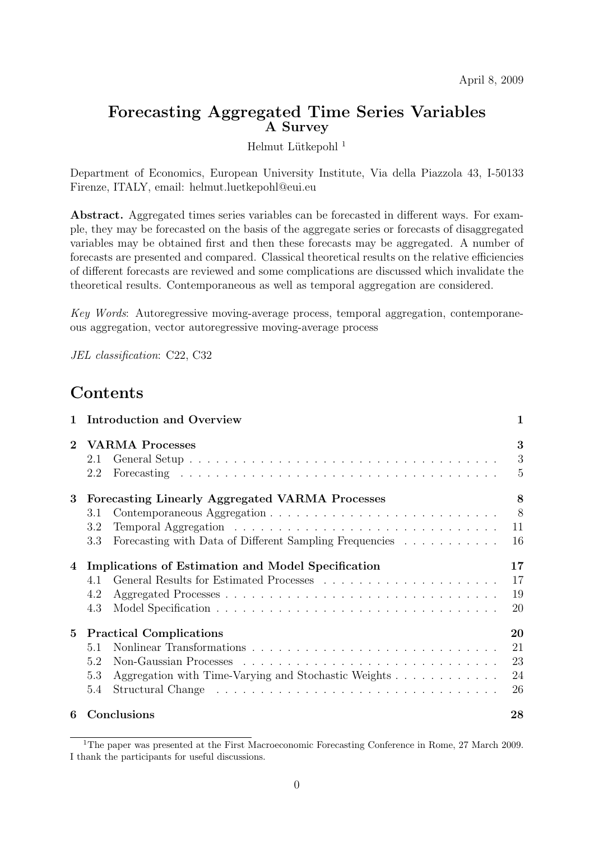## **Forecasting Aggregated Time Series Variables A Survey**

Helmut Lütkepohl $^{\rm 1}$ 

Department of Economics, European University Institute, Via della Piazzola 43, I-50133 Firenze, ITALY, email: helmut.luetkepohl@eui.eu

**Abstract.** Aggregated times series variables can be forecasted in different ways. For example, they may be forecasted on the basis of the aggregate series or forecasts of disaggregated variables may be obtained first and then these forecasts may be aggregated. A number of forecasts are presented and compared. Classical theoretical results on the relative efficiencies of different forecasts are reviewed and some complications are discussed which invalidate the theoretical results. Contemporaneous as well as temporal aggregation are considered.

Key Words: Autoregressive moving-average process, temporal aggregation, contemporaneous aggregation, vector autoregressive moving-average process

JEL classification: C22, C32

## **Contents**

| $\mathbf{1}$   | <b>Introduction and Overview</b>                                                                                                | 1                          |
|----------------|---------------------------------------------------------------------------------------------------------------------------------|----------------------------|
| $\overline{2}$ | <b>VARMA Processes</b><br>2.1<br>2.2                                                                                            | 3<br>3<br>5                |
| 3              | Forecasting Linearly Aggregated VARMA Processes<br>3.1<br>3.2<br>Forecasting with Data of Different Sampling Frequencies<br>3.3 | 8<br>8<br>11<br>16         |
| 4              | Implications of Estimation and Model Specification<br>4.1<br>4.2<br>4.3                                                         | 17<br>17<br>19<br>20       |
| 5              | <b>Practical Complications</b><br>51<br>5.2<br>5.3<br>Aggregation with Time-Varying and Stochastic Weights<br>5.4               | 20<br>21<br>23<br>24<br>26 |
| 6              | Conclusions                                                                                                                     | 28                         |

<sup>&</sup>lt;sup>1</sup>The paper was presented at the First Macroeconomic Forecasting Conference in Rome, 27 March 2009. I thank the participants for useful discussions.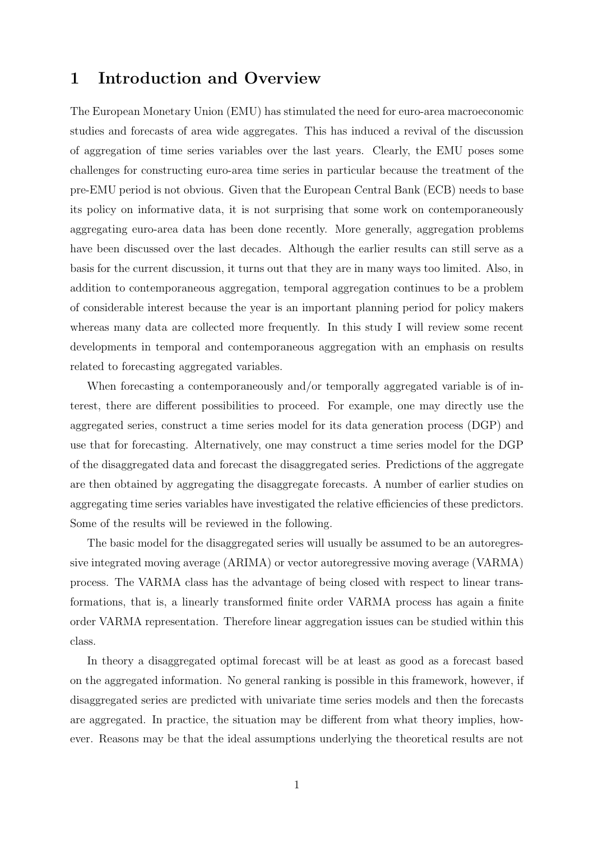## **1 Introduction and Overview**

The European Monetary Union (EMU) has stimulated the need for euro-area macroeconomic studies and forecasts of area wide aggregates. This has induced a revival of the discussion of aggregation of time series variables over the last years. Clearly, the EMU poses some challenges for constructing euro-area time series in particular because the treatment of the pre-EMU period is not obvious. Given that the European Central Bank (ECB) needs to base its policy on informative data, it is not surprising that some work on contemporaneously aggregating euro-area data has been done recently. More generally, aggregation problems have been discussed over the last decades. Although the earlier results can still serve as a basis for the current discussion, it turns out that they are in many ways too limited. Also, in addition to contemporaneous aggregation, temporal aggregation continues to be a problem of considerable interest because the year is an important planning period for policy makers whereas many data are collected more frequently. In this study I will review some recent developments in temporal and contemporaneous aggregation with an emphasis on results related to forecasting aggregated variables.

When forecasting a contemporaneously and/or temporally aggregated variable is of interest, there are different possibilities to proceed. For example, one may directly use the aggregated series, construct a time series model for its data generation process (DGP) and use that for forecasting. Alternatively, one may construct a time series model for the DGP of the disaggregated data and forecast the disaggregated series. Predictions of the aggregate are then obtained by aggregating the disaggregate forecasts. A number of earlier studies on aggregating time series variables have investigated the relative efficiencies of these predictors. Some of the results will be reviewed in the following.

The basic model for the disaggregated series will usually be assumed to be an autoregressive integrated moving average (ARIMA) or vector autoregressive moving average (VARMA) process. The VARMA class has the advantage of being closed with respect to linear transformations, that is, a linearly transformed finite order VARMA process has again a finite order VARMA representation. Therefore linear aggregation issues can be studied within this class.

In theory a disaggregated optimal forecast will be at least as good as a forecast based on the aggregated information. No general ranking is possible in this framework, however, if disaggregated series are predicted with univariate time series models and then the forecasts are aggregated. In practice, the situation may be different from what theory implies, however. Reasons may be that the ideal assumptions underlying the theoretical results are not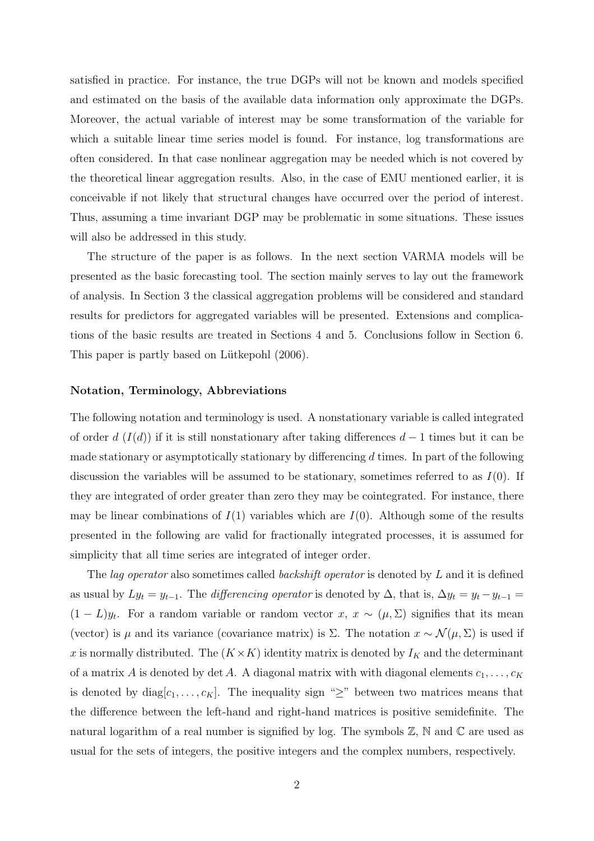satisfied in practice. For instance, the true DGPs will not be known and models specified and estimated on the basis of the available data information only approximate the DGPs. Moreover, the actual variable of interest may be some transformation of the variable for which a suitable linear time series model is found. For instance, log transformations are often considered. In that case nonlinear aggregation may be needed which is not covered by the theoretical linear aggregation results. Also, in the case of EMU mentioned earlier, it is conceivable if not likely that structural changes have occurred over the period of interest. Thus, assuming a time invariant DGP may be problematic in some situations. These issues will also be addressed in this study.

The structure of the paper is as follows. In the next section VARMA models will be presented as the basic forecasting tool. The section mainly serves to lay out the framework of analysis. In Section 3 the classical aggregation problems will be considered and standard results for predictors for aggregated variables will be presented. Extensions and complications of the basic results are treated in Sections 4 and 5. Conclusions follow in Section 6. This paper is partly based on Lütkepohl  $(2006)$ .

#### **Notation, Terminology, Abbreviations**

The following notation and terminology is used. A nonstationary variable is called integrated of order d  $(I(d))$  if it is still nonstationary after taking differences  $d-1$  times but it can be made stationary or asymptotically stationary by differencing  $d$  times. In part of the following discussion the variables will be assumed to be stationary, sometimes referred to as  $I(0)$ . If they are integrated of order greater than zero they may be cointegrated. For instance, there may be linear combinations of  $I(1)$  variables which are  $I(0)$ . Although some of the results presented in the following are valid for fractionally integrated processes, it is assumed for simplicity that all time series are integrated of integer order.

The *lag operator* also sometimes called *backshift operator* is denoted by L and it is defined as usual by  $Ly_t = y_{t-1}$ . The *differencing operator* is denoted by  $\Delta$ , that is,  $\Delta y_t = y_t - y_{t-1}$  $(1 - L)y_t$ . For a random variable or random vector x,  $x \sim (\mu, \Sigma)$  signifies that its mean (vector) is  $\mu$  and its variance (covariance matrix) is Σ. The notation  $x \sim \mathcal{N}(\mu, \Sigma)$  is used if x is normally distributed. The  $(K \times K)$  identity matrix is denoted by  $I_K$  and the determinant of a matrix A is denoted by det A. A diagonal matrix with with diagonal elements  $c_1, \ldots, c_K$ is denoted by diag $[c_1,\ldots,c_K]$ . The inequality sign "≥" between two matrices means that the difference between the left-hand and right-hand matrices is positive semidefinite. The natural logarithm of a real number is signified by log. The symbols  $\mathbb{Z}$ ,  $\mathbb N$  and  $\mathbb C$  are used as usual for the sets of integers, the positive integers and the complex numbers, respectively.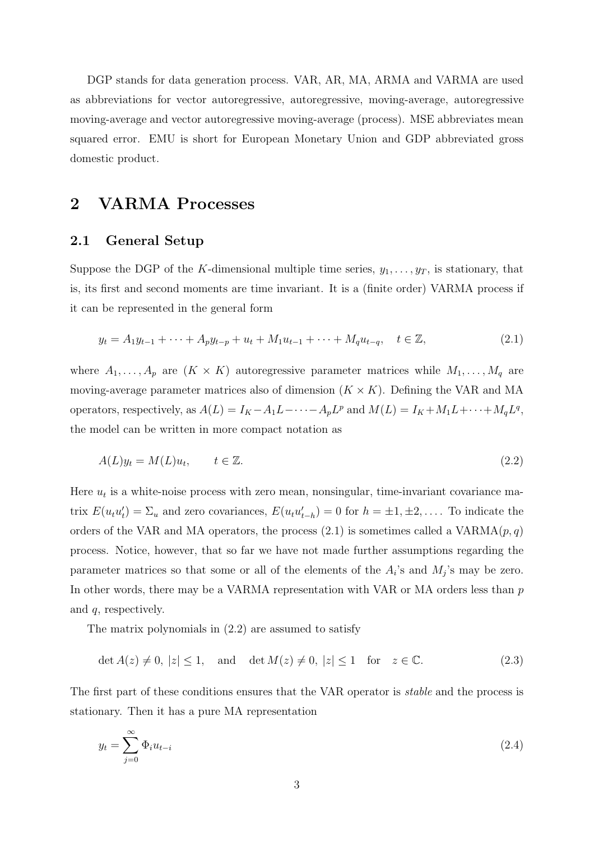DGP stands for data generation process. VAR, AR, MA, ARMA and VARMA are used as abbreviations for vector autoregressive, autoregressive, moving-average, autoregressive moving-average and vector autoregressive moving-average (process). MSE abbreviates mean squared error. EMU is short for European Monetary Union and GDP abbreviated gross domestic product.

## **2 VARMA Processes**

#### **2.1 General Setup**

Suppose the DGP of the K-dimensional multiple time series,  $y_1, \ldots, y_T$ , is stationary, that is, its first and second moments are time invariant. It is a (finite order) VARMA process if it can be represented in the general form

$$
y_t = A_1 y_{t-1} + \dots + A_p y_{t-p} + u_t + M_1 u_{t-1} + \dots + M_q u_{t-q}, \quad t \in \mathbb{Z},
$$
\n(2.1)

where  $A_1, \ldots, A_p$  are  $(K \times K)$  autoregressive parameter matrices while  $M_1, \ldots, M_q$  are moving-average parameter matrices also of dimension  $(K \times K)$ . Defining the VAR and MA operators, respectively, as  $A(L) = I_K - A_1 L - \cdots - A_p L^p$  and  $M(L) = I_K + M_1 L + \cdots + M_q L^q$ , the model can be written in more compact notation as

$$
A(L)y_t = M(L)u_t, \qquad t \in \mathbb{Z}.\tag{2.2}
$$

Here  $u_t$  is a white-noise process with zero mean, nonsingular, time-invariant covariance matrix  $E(u_t u'_t) = \sum_u$  and zero covariances,  $E(u_t u'_{t-h}) = 0$  for  $h = \pm 1, \pm 2, \ldots$ . To indicate the orders of the VAR and MA operators, the process (2.1) is sometimes called a VARMA $(p, q)$ process. Notice, however, that so far we have not made further assumptions regarding the parameter matrices so that some or all of the elements of the  $A_i$ 's and  $M_j$ 's may be zero. In other words, there may be a VARMA representation with VAR or MA orders less than  $p$ and q, respectively.

The matrix polynomials in (2.2) are assumed to satisfy

$$
\det A(z) \neq 0, |z| \leq 1, \text{ and } \det M(z) \neq 0, |z| \leq 1 \text{ for } z \in \mathbb{C}.
$$
 (2.3)

The first part of these conditions ensures that the VAR operator is stable and the process is stationary. Then it has a pure MA representation

$$
y_t = \sum_{j=0}^{\infty} \Phi_i u_{t-i}
$$
\n(2.4)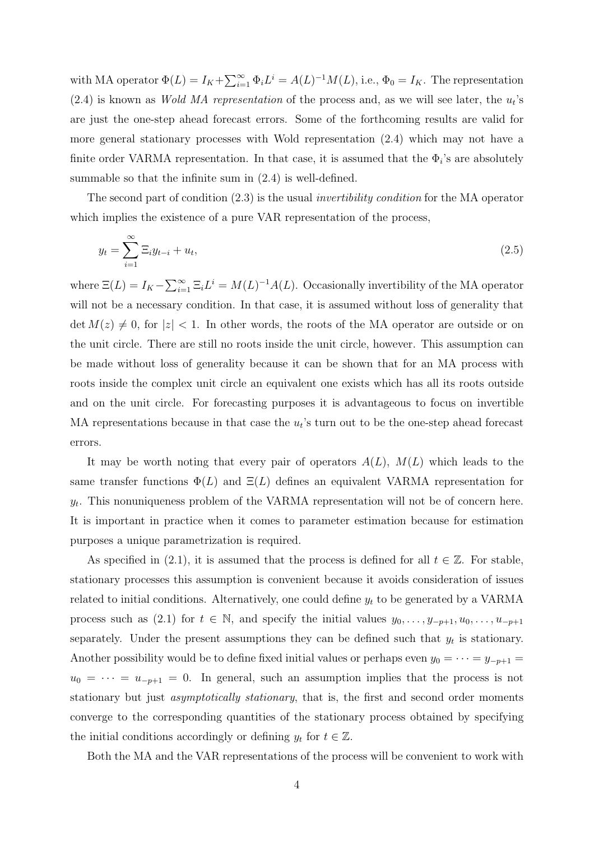with MA operator  $\Phi(L) = I_K + \sum_{i=1}^{\infty} \Phi_i L^i = A(L)^{-1} M(L)$ , i.e.,  $\Phi_0 = I_K$ . The representation  $(2.4)$  is known as *Wold MA representation* of the process and, as we will see later, the  $u_t$ 's are just the one-step ahead forecast errors. Some of the forthcoming results are valid for more general stationary processes with Wold representation (2.4) which may not have a finite order VARMA representation. In that case, it is assumed that the  $\Phi_i$ 's are absolutely summable so that the infinite sum in (2.4) is well-defined.

The second part of condition (2.3) is the usual invertibility condition for the MA operator which implies the existence of a pure VAR representation of the process,

$$
y_t = \sum_{i=1}^{\infty} \Xi_i y_{t-i} + u_t,
$$
\n
$$
(2.5)
$$

where  $\Xi(L) = I_K - \sum_{i=1}^{\infty} \Xi_i L^i = M(L)^{-1} A(L)$ . Occasionally invertibility of the MA operator will not be a necessary condition. In that case, it is assumed without loss of generality that  $\det M(z) \neq 0$ , for  $|z| < 1$ . In other words, the roots of the MA operator are outside or on the unit circle. There are still no roots inside the unit circle, however. This assumption can be made without loss of generality because it can be shown that for an MA process with roots inside the complex unit circle an equivalent one exists which has all its roots outside and on the unit circle. For forecasting purposes it is advantageous to focus on invertible MA representations because in that case the  $u_t$ 's turn out to be the one-step ahead forecast errors.

It may be worth noting that every pair of operators  $A(L)$ ,  $M(L)$  which leads to the same transfer functions  $\Phi(L)$  and  $\Xi(L)$  defines an equivalent VARMA representation for  $y_t$ . This nonuniqueness problem of the VARMA representation will not be of concern here. It is important in practice when it comes to parameter estimation because for estimation purposes a unique parametrization is required.

As specified in (2.1), it is assumed that the process is defined for all  $t \in \mathbb{Z}$ . For stable, stationary processes this assumption is convenient because it avoids consideration of issues related to initial conditions. Alternatively, one could define  $y_t$  to be generated by a VARMA process such as (2.1) for  $t \in \mathbb{N}$ , and specify the initial values  $y_0, \ldots, y_{-p+1}, u_0, \ldots, u_{-p+1}$ separately. Under the present assumptions they can be defined such that  $y_t$  is stationary. Another possibility would be to define fixed initial values or perhaps even  $y_0 = \cdots = y_{-p+1} =$  $u_0 = \cdots = u_{-p+1} = 0$ . In general, such an assumption implies that the process is not stationary but just *asymptotically stationary*, that is, the first and second order moments converge to the corresponding quantities of the stationary process obtained by specifying the initial conditions accordingly or defining  $y_t$  for  $t \in \mathbb{Z}$ .

Both the MA and the VAR representations of the process will be convenient to work with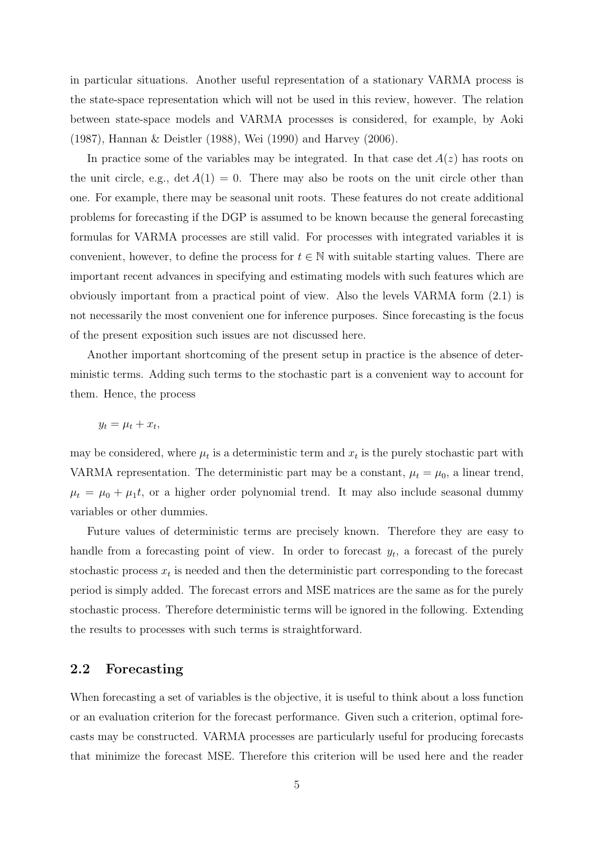in particular situations. Another useful representation of a stationary VARMA process is the state-space representation which will not be used in this review, however. The relation between state-space models and VARMA processes is considered, for example, by Aoki (1987), Hannan & Deistler (1988), Wei (1990) and Harvey (2006).

In practice some of the variables may be integrated. In that case  $\det A(z)$  has roots on the unit circle, e.g.,  $\det A(1) = 0$ . There may also be roots on the unit circle other than one. For example, there may be seasonal unit roots. These features do not create additional problems for forecasting if the DGP is assumed to be known because the general forecasting formulas for VARMA processes are still valid. For processes with integrated variables it is convenient, however, to define the process for  $t \in \mathbb{N}$  with suitable starting values. There are important recent advances in specifying and estimating models with such features which are obviously important from a practical point of view. Also the levels VARMA form (2.1) is not necessarily the most convenient one for inference purposes. Since forecasting is the focus of the present exposition such issues are not discussed here.

Another important shortcoming of the present setup in practice is the absence of deterministic terms. Adding such terms to the stochastic part is a convenient way to account for them. Hence, the process

$$
y_t = \mu_t + x_t,
$$

may be considered, where  $\mu_t$  is a deterministic term and  $x_t$  is the purely stochastic part with VARMA representation. The deterministic part may be a constant,  $\mu_t = \mu_0$ , a linear trend,  $\mu_t = \mu_0 + \mu_1 t$ , or a higher order polynomial trend. It may also include seasonal dummy variables or other dummies.

Future values of deterministic terms are precisely known. Therefore they are easy to handle from a forecasting point of view. In order to forecast  $y_t$ , a forecast of the purely stochastic process  $x_t$  is needed and then the deterministic part corresponding to the forecast period is simply added. The forecast errors and MSE matrices are the same as for the purely stochastic process. Therefore deterministic terms will be ignored in the following. Extending the results to processes with such terms is straightforward.

#### **2.2 Forecasting**

When forecasting a set of variables is the objective, it is useful to think about a loss function or an evaluation criterion for the forecast performance. Given such a criterion, optimal forecasts may be constructed. VARMA processes are particularly useful for producing forecasts that minimize the forecast MSE. Therefore this criterion will be used here and the reader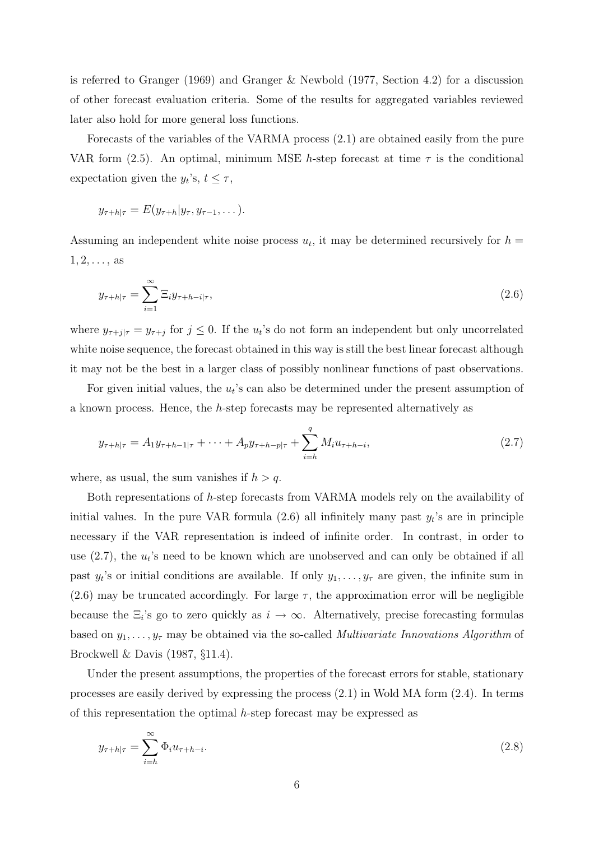is referred to Granger (1969) and Granger & Newbold (1977, Section 4.2) for a discussion of other forecast evaluation criteria. Some of the results for aggregated variables reviewed later also hold for more general loss functions.

Forecasts of the variables of the VARMA process (2.1) are obtained easily from the pure VAR form (2.5). An optimal, minimum MSE h-step forecast at time  $\tau$  is the conditional expectation given the  $y_t$ 's,  $t \leq \tau$ ,

$$
y_{\tau+h|\tau}=E(y_{\tau+h}|y_{\tau},y_{\tau-1},\dots).
$$

Assuming an independent white noise process  $u_t$ , it may be determined recursively for  $h =$  $1, 2, \ldots$ , as

$$
y_{\tau+h|\tau} = \sum_{i=1}^{\infty} \Xi_i y_{\tau+h-i|\tau},\tag{2.6}
$$

where  $y_{\tau+j|\tau} = y_{\tau+j}$  for  $j \leq 0$ . If the  $u_t$ 's do not form an independent but only uncorrelated white noise sequence, the forecast obtained in this way is still the best linear forecast although it may not be the best in a larger class of possibly nonlinear functions of past observations.

For given initial values, the  $u_t$ 's can also be determined under the present assumption of a known process. Hence, the h-step forecasts may be represented alternatively as

$$
y_{\tau+h|\tau} = A_1 y_{\tau+h-1|\tau} + \dots + A_p y_{\tau+h-p|\tau} + \sum_{i=h}^q M_i u_{\tau+h-i},
$$
\n(2.7)

where, as usual, the sum vanishes if  $h > q$ .

Both representations of h-step forecasts from VARMA models rely on the availability of initial values. In the pure VAR formula  $(2.6)$  all infinitely many past  $y_t$ 's are in principle necessary if the VAR representation is indeed of infinite order. In contrast, in order to use  $(2.7)$ , the  $u_t$ 's need to be known which are unobserved and can only be obtained if all past  $y_t$ 's or initial conditions are available. If only  $y_1, \ldots, y_\tau$  are given, the infinite sum in (2.6) may be truncated accordingly. For large  $\tau$ , the approximation error will be negligible because the  $\Xi_i$ 's go to zero quickly as  $i \to \infty$ . Alternatively, precise forecasting formulas based on  $y_1, \ldots, y_\tau$  may be obtained via the so-called *Multivariate Innovations Algorithm* of Brockwell & Davis (1987, §11.4).

Under the present assumptions, the properties of the forecast errors for stable, stationary processes are easily derived by expressing the process (2.1) in Wold MA form (2.4). In terms of this representation the optimal h-step forecast may be expressed as

$$
y_{\tau+h|\tau} = \sum_{i=h}^{\infty} \Phi_i u_{\tau+h-i}.
$$
\n(2.8)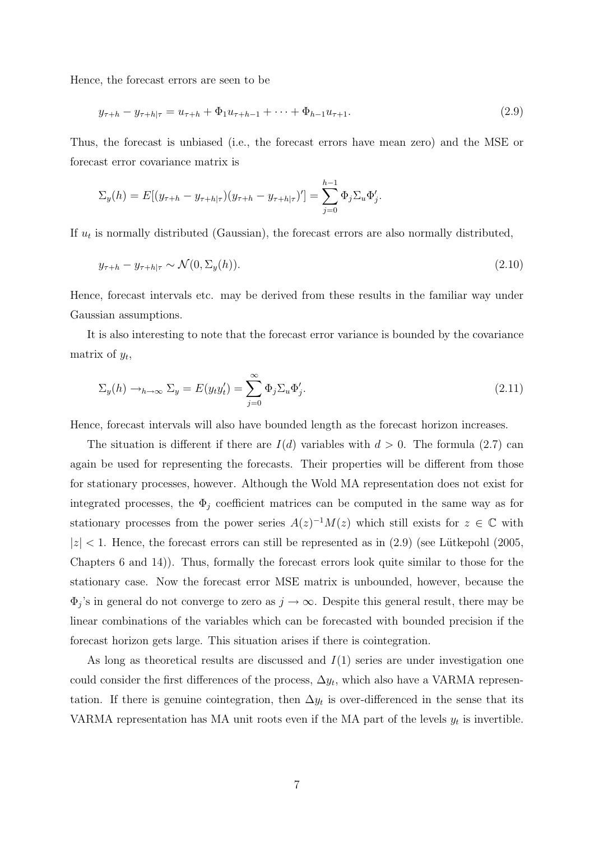Hence, the forecast errors are seen to be

$$
y_{\tau+h} - y_{\tau+h|\tau} = u_{\tau+h} + \Phi_1 u_{\tau+h-1} + \dots + \Phi_{h-1} u_{\tau+1}.
$$
\n(2.9)

Thus, the forecast is unbiased (i.e., the forecast errors have mean zero) and the MSE or forecast error covariance matrix is

$$
\Sigma_y(h) = E[(y_{\tau+h} - y_{\tau+h|\tau})(y_{\tau+h} - y_{\tau+h|\tau})'] = \sum_{j=0}^{h-1} \Phi_j \Sigma_u \Phi'_j.
$$

If  $u_t$  is normally distributed (Gaussian), the forecast errors are also normally distributed,

$$
y_{\tau+h} - y_{\tau+h|\tau} \sim \mathcal{N}(0, \Sigma_y(h)).
$$
\n(2.10)

Hence, forecast intervals etc. may be derived from these results in the familiar way under Gaussian assumptions.

It is also interesting to note that the forecast error variance is bounded by the covariance matrix of  $y_t$ ,

$$
\Sigma_y(h) \to_{h \to \infty} \Sigma_y = E(y_t y_t') = \sum_{j=0}^{\infty} \Phi_j \Sigma_u \Phi_j'.
$$
\n(2.11)

Hence, forecast intervals will also have bounded length as the forecast horizon increases.

The situation is different if there are  $I(d)$  variables with  $d > 0$ . The formula (2.7) can again be used for representing the forecasts. Their properties will be different from those for stationary processes, however. Although the Wold MA representation does not exist for integrated processes, the  $\Phi_i$  coefficient matrices can be computed in the same way as for stationary processes from the power series  $A(z)^{-1}M(z)$  which still exists for  $z \in \mathbb{C}$  with  $|z|$  < 1. Hence, the forecast errors can still be represented as in  $(2.9)$  (see Lütkepohl  $(2005,$ Chapters 6 and 14)). Thus, formally the forecast errors look quite similar to those for the stationary case. Now the forecast error MSE matrix is unbounded, however, because the  $\Phi_j$ 's in general do not converge to zero as  $j \to \infty$ . Despite this general result, there may be linear combinations of the variables which can be forecasted with bounded precision if the forecast horizon gets large. This situation arises if there is cointegration.

As long as theoretical results are discussed and  $I(1)$  series are under investigation one could consider the first differences of the process,  $\Delta y_t$ , which also have a VARMA representation. If there is genuine cointegration, then  $\Delta y_t$  is over-differenced in the sense that its VARMA representation has MA unit roots even if the MA part of the levels  $y_t$  is invertible.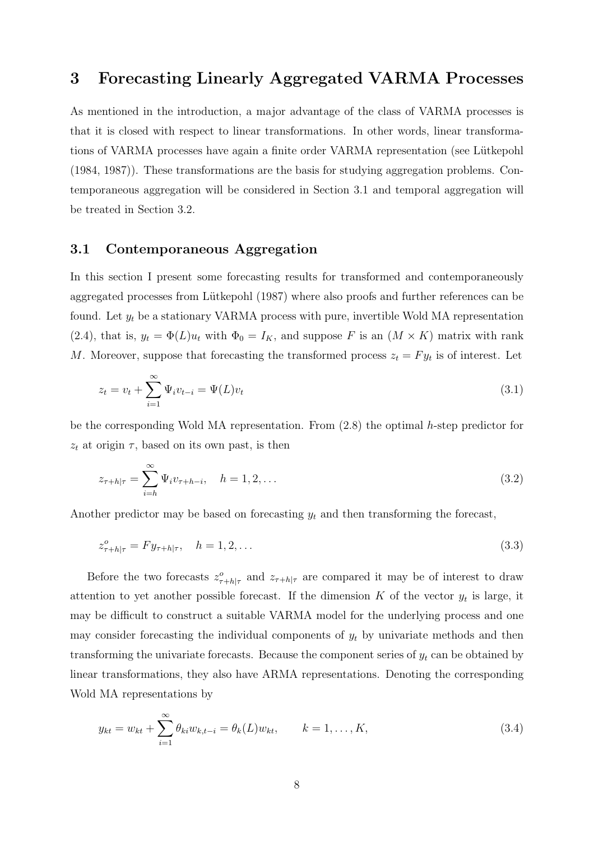## **3 Forecasting Linearly Aggregated VARMA Processes**

As mentioned in the introduction, a major advantage of the class of VARMA processes is that it is closed with respect to linear transformations. In other words, linear transformations of VARMA processes have again a finite order VARMA representation (see Lütkepohl (1984, 1987)). These transformations are the basis for studying aggregation problems. Contemporaneous aggregation will be considered in Section 3.1 and temporal aggregation will be treated in Section 3.2.

#### **3.1 Contemporaneous Aggregation**

In this section I present some forecasting results for transformed and contemporaneously aggregated processes from Lütkepohl (1987) where also proofs and further references can be found. Let  $y_t$  be a stationary VARMA process with pure, invertible Wold MA representation (2.4), that is,  $y_t = \Phi(L)u_t$  with  $\Phi_0 = I_K$ , and suppose F is an  $(M \times K)$  matrix with rank M. Moreover, suppose that forecasting the transformed process  $z_t = F y_t$  is of interest. Let

$$
z_t = v_t + \sum_{i=1}^{\infty} \Psi_i v_{t-i} = \Psi(L)v_t
$$
\n(3.1)

be the corresponding Wold MA representation. From (2.8) the optimal h-step predictor for  $z_t$  at origin  $\tau$ , based on its own past, is then

$$
z_{\tau+h|\tau} = \sum_{i=h}^{\infty} \Psi_i v_{\tau+h-i}, \quad h = 1, 2, \dots
$$
\n(3.2)

Another predictor may be based on forecasting  $y_t$  and then transforming the forecast,

$$
z_{\tau+h|\tau}^o = F y_{\tau+h|\tau}, \quad h = 1, 2, \dots
$$
\n(3.3)

Before the two forecasts  $z_{\tau+h|\tau}^o$  and  $z_{\tau+h|\tau}$  are compared it may be of interest to draw attention to yet another possible forecast. If the dimension K of the vector  $y_t$  is large, it may be difficult to construct a suitable VARMA model for the underlying process and one may consider forecasting the individual components of  $y_t$  by univariate methods and then transforming the univariate forecasts. Because the component series of  $y_t$  can be obtained by linear transformations, they also have ARMA representations. Denoting the corresponding Wold MA representations by

$$
y_{kt} = w_{kt} + \sum_{i=1}^{\infty} \theta_{ki} w_{k,t-i} = \theta_k(L) w_{kt}, \qquad k = 1, ..., K,
$$
\n(3.4)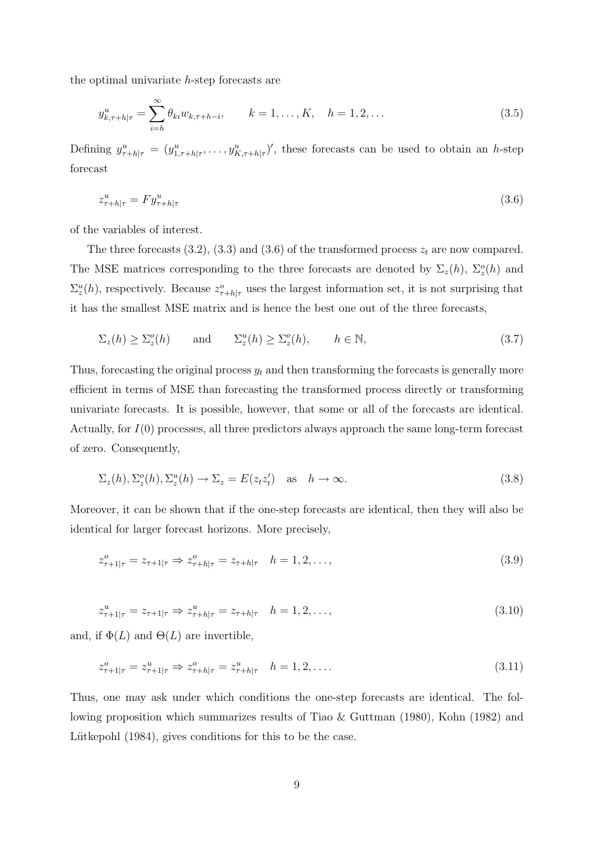the optimal univariate h-step forecasts are

$$
y_{k,\tau+h|\tau}^{u} = \sum_{i=h}^{\infty} \theta_{ki} w_{k,\tau+h-i}, \qquad k = 1, \dots, K, \quad h = 1, 2, \dots
$$
 (3.5)

Defining  $y_{\tau+h|\tau}^u = (y_{1,\tau+h|\tau}^u, \ldots, y_{K,\tau+h|\tau}^u)'$ , these forecasts can be used to obtain an h-step forecast

$$
z_{\tau+h|\tau}^u = F y_{\tau+h|\tau}^u \tag{3.6}
$$

of the variables of interest.

The three forecasts  $(3.2)$ ,  $(3.3)$  and  $(3.6)$  of the transformed process  $z_t$  are now compared. The MSE matrices corresponding to the three forecasts are denoted by  $\Sigma_z(h)$ ,  $\Sigma_z^o(h)$  and  $\Sigma_z^u(h)$ , respectively. Because  $z_{\tau+h|\tau}^o$  uses the largest information set, it is not surprising that it has the smallest MSE matrix and is hence the best one out of the three forecasts,

$$
\Sigma_z(h) \ge \Sigma_z^o(h) \quad \text{and} \quad \Sigma_z^u(h) \ge \Sigma_z^o(h), \quad h \in \mathbb{N}, \tag{3.7}
$$

Thus, forecasting the original process  $y_t$  and then transforming the forecasts is generally more efficient in terms of MSE than forecasting the transformed process directly or transforming univariate forecasts. It is possible, however, that some or all of the forecasts are identical. Actually, for I(0) processes, all three predictors always approach the same long-term forecast of zero. Consequently,

$$
\Sigma_z(h), \Sigma_z^o(h), \Sigma_z^u(h) \to \Sigma_z = E(z_t z_t') \quad \text{as} \quad h \to \infty.
$$
\n(3.8)

Moreover, it can be shown that if the one-step forecasts are identical, then they will also be identical for larger forecast horizons. More precisely,

$$
z_{\tau+1|\tau}^o = z_{\tau+1|\tau} \Rightarrow z_{\tau+h|\tau}^o = z_{\tau+h|\tau} \quad h = 1, 2, \dots,
$$
\n(3.9)

$$
z_{\tau+1|\tau}^u = z_{\tau+1|\tau} \Rightarrow z_{\tau+h|\tau}^u = z_{\tau+h|\tau} \quad h = 1, 2, \dots,
$$
\n(3.10)

and, if  $\Phi(L)$  and  $\Theta(L)$  are invertible,

$$
z_{\tau+1|\tau}^o = z_{\tau+1|\tau}^u \Rightarrow z_{\tau+h|\tau}^o = z_{\tau+h|\tau}^u \quad h = 1, 2, \dots
$$
\n(3.11)

Thus, one may ask under which conditions the one-step forecasts are identical. The following proposition which summarizes results of Tiao & Guttman (1980), Kohn (1982) and Lütkepohl (1984), gives conditions for this to be the case.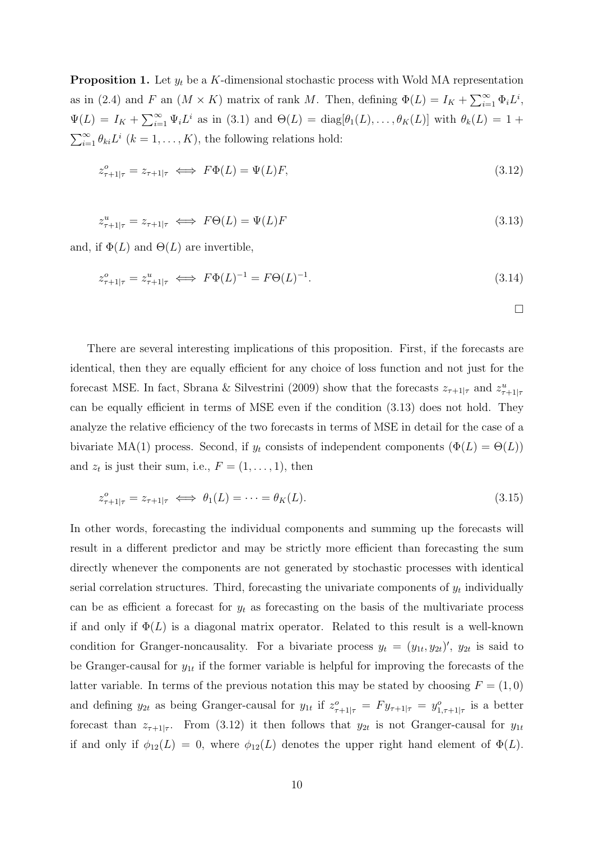**Proposition 1.** Let  $y_t$  be a K-dimensional stochastic process with Wold MA representation as in (2.4) and F an  $(M \times K)$  matrix of rank M. Then, defining  $\Phi(L) = I_K + \sum_{i=1}^{\infty} \Phi_i L^i$ ,  $\Psi(L) = I_K + \sum_{i=1}^{\infty} \Psi_i L^i$  as in (3.1) and  $\Theta(L) = \text{diag}[\theta_1(L), \dots, \theta_K(L)]$  with  $\theta_k(L) = 1 +$  $\sum_{i=1}^{\infty} \theta_{ki} L^i$   $(k = 1, ..., K)$ , the following relations hold:

$$
z_{\tau+1|\tau}^o = z_{\tau+1|\tau} \iff F\Phi(L) = \Psi(L)F,\tag{3.12}
$$

$$
z_{\tau+1|\tau}^u = z_{\tau+1|\tau} \iff F\Theta(L) = \Psi(L)F
$$
\n(3.13)

and, if  $\Phi(L)$  and  $\Theta(L)$  are invertible,

$$
z_{\tau+1|\tau}^o = z_{\tau+1|\tau}^u \iff F\Phi(L)^{-1} = F\Theta(L)^{-1}.
$$
\n(3.14)

 $\Box$ 

There are several interesting implications of this proposition. First, if the forecasts are identical, then they are equally efficient for any choice of loss function and not just for the forecast MSE. In fact, Sbrana & Silvestrini (2009) show that the forecasts  $z_{\tau+1|\tau}$  and  $z_{\tau+1|\tau}^u$ can be equally efficient in terms of MSE even if the condition (3.13) does not hold. They analyze the relative efficiency of the two forecasts in terms of MSE in detail for the case of a bivariate MA(1) process. Second, if  $y_t$  consists of independent components ( $\Phi(L) = \Theta(L)$ ) and  $z_t$  is just their sum, i.e.,  $F = (1, \ldots, 1)$ , then

$$
z_{\tau+1|\tau}^o = z_{\tau+1|\tau} \iff \theta_1(L) = \dots = \theta_K(L). \tag{3.15}
$$

In other words, forecasting the individual components and summing up the forecasts will result in a different predictor and may be strictly more efficient than forecasting the sum directly whenever the components are not generated by stochastic processes with identical serial correlation structures. Third, forecasting the univariate components of  $y_t$  individually can be as efficient a forecast for  $y_t$  as forecasting on the basis of the multivariate process if and only if  $\Phi(L)$  is a diagonal matrix operator. Related to this result is a well-known condition for Granger-noncausality. For a bivariate process  $y_t = (y_{1t}, y_{2t})'$ ,  $y_{2t}$  is said to be Granger-causal for  $y_{1t}$  if the former variable is helpful for improving the forecasts of the latter variable. In terms of the previous notation this may be stated by choosing  $F = (1,0)$ and defining  $y_{2t}$  as being Granger-causal for  $y_{1t}$  if  $z_{\tau+1|\tau}^o = F y_{\tau+1|\tau} = y_{1,\tau+1|\tau}^o$  is a better forecast than  $z_{\tau+1|\tau}$ . From (3.12) it then follows that  $y_{2t}$  is not Granger-causal for  $y_{1t}$ if and only if  $\phi_{12}(L) = 0$ , where  $\phi_{12}(L)$  denotes the upper right hand element of  $\Phi(L)$ .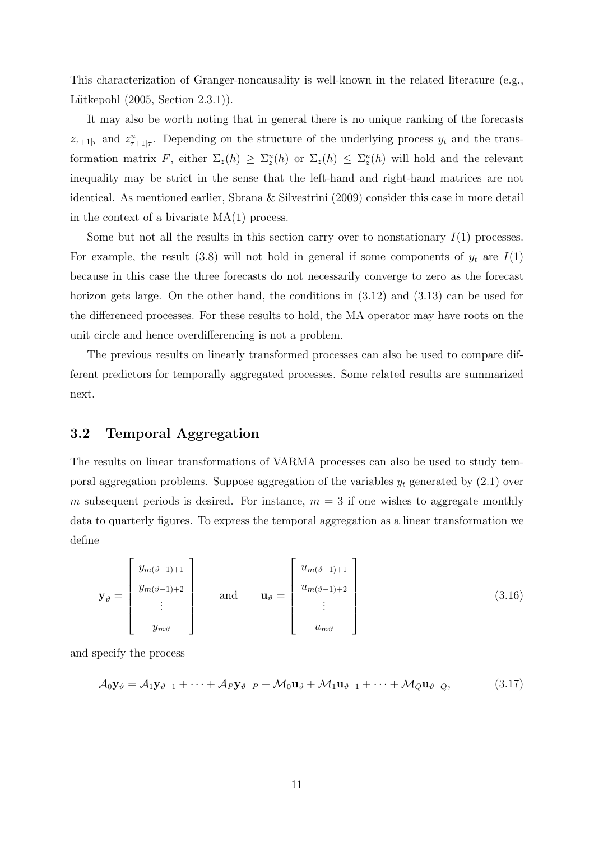This characterization of Granger-noncausality is well-known in the related literature (e.g., Lütkepohl  $(2005, Section 2.3.1)$ .

It may also be worth noting that in general there is no unique ranking of the forecasts  $z_{\tau+1|\tau}$  and  $z_{\tau+1|\tau}^u$ . Depending on the structure of the underlying process  $y_t$  and the transformation matrix F, either  $\Sigma_z(h) \geq \Sigma_z^u(h)$  or  $\Sigma_z(h) \leq \Sigma_z^u(h)$  will hold and the relevant inequality may be strict in the sense that the left-hand and right-hand matrices are not identical. As mentioned earlier, Sbrana & Silvestrini (2009) consider this case in more detail in the context of a bivariate MA(1) process.

Some but not all the results in this section carry over to nonstationary  $I(1)$  processes. For example, the result (3.8) will not hold in general if some components of  $y_t$  are  $I(1)$ because in this case the three forecasts do not necessarily converge to zero as the forecast horizon gets large. On the other hand, the conditions in  $(3.12)$  and  $(3.13)$  can be used for the differenced processes. For these results to hold, the MA operator may have roots on the unit circle and hence overdifferencing is not a problem.

The previous results on linearly transformed processes can also be used to compare different predictors for temporally aggregated processes. Some related results are summarized next.

## **3.2 Temporal Aggregation**

The results on linear transformations of VARMA processes can also be used to study temporal aggregation problems. Suppose aggregation of the variables  $y_t$  generated by  $(2.1)$  over m subsequent periods is desired. For instance,  $m = 3$  if one wishes to aggregate monthly data to quarterly figures. To express the temporal aggregation as a linear transformation we define

$$
\mathbf{y}_{\vartheta} = \begin{bmatrix} y_{m(\vartheta-1)+1} \\ y_{m(\vartheta-1)+2} \\ \vdots \\ y_{m\vartheta} \end{bmatrix} \quad \text{and} \quad \mathbf{u}_{\vartheta} = \begin{bmatrix} u_{m(\vartheta-1)+1} \\ u_{m(\vartheta-1)+2} \\ \vdots \\ u_{m\vartheta} \end{bmatrix}
$$
 (3.16)

and specify the process

$$
\mathcal{A}_0 \mathbf{y}_{\vartheta} = \mathcal{A}_1 \mathbf{y}_{\vartheta - 1} + \dots + \mathcal{A}_P \mathbf{y}_{\vartheta - P} + \mathcal{M}_0 \mathbf{u}_{\vartheta} + \mathcal{M}_1 \mathbf{u}_{\vartheta - 1} + \dots + \mathcal{M}_Q \mathbf{u}_{\vartheta - Q},
$$
(3.17)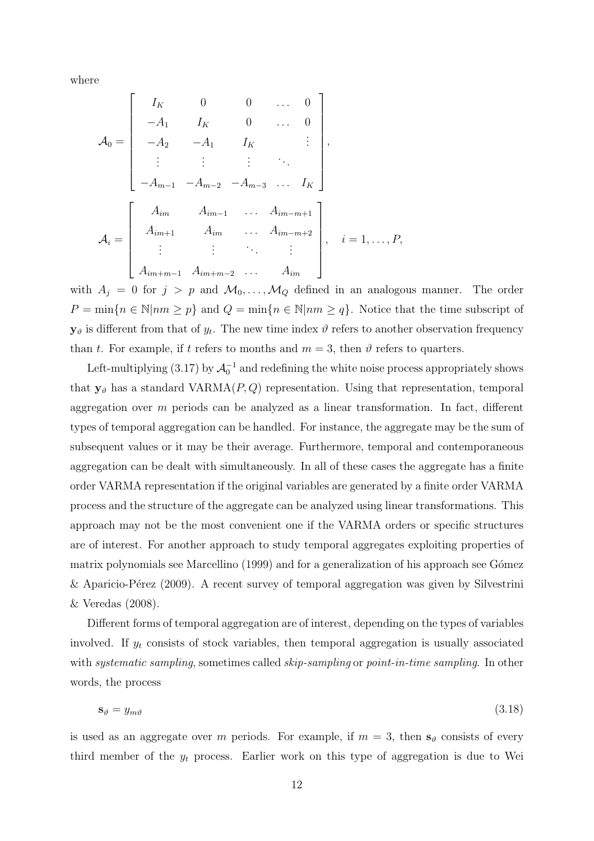where

$$
\mathcal{A}_0 = \begin{bmatrix}\nI_K & 0 & 0 & \dots & 0 \\
-A_1 & I_K & 0 & \dots & 0 \\
-A_2 & -A_1 & I_K & \vdots \\
\vdots & \vdots & \vdots & \ddots & \vdots \\
-A_{m-1} & -A_{m-2} & -A_{m-3} & \dots & I_K\n\end{bmatrix},
$$
\n
$$
\mathcal{A}_i = \begin{bmatrix}\nA_{im} & A_{im-1} & \dots & A_{im-m+1} \\
A_{im+1} & A_{im} & \dots & A_{im-m+2} \\
\vdots & \vdots & \ddots & \vdots \\
A_{im+m-1} & A_{im+m-2} & \dots & A_{im}\n\end{bmatrix}, \quad i = 1, \dots, P,
$$

with  $A_j = 0$  for  $j > p$  and  $\mathcal{M}_0, \ldots, \mathcal{M}_Q$  defined in an analogous manner. The order  $P = \min\{n \in \mathbb{N} | nm \geq p\}$  and  $Q = \min\{n \in \mathbb{N} | nm \geq q\}$ . Notice that the time subscript of  $y_{\vartheta}$  is different from that of  $y_t$ . The new time index  $\vartheta$  refers to another observation frequency than t. For example, if t refers to months and  $m = 3$ , then  $\vartheta$  refers to quarters.

Left-multiplying (3.17) by  $\mathcal{A}_0^{-1}$  and redefining the white noise process appropriately shows that  $y_{\vartheta}$  has a standard VARMA( $P, Q$ ) representation. Using that representation, temporal aggregation over m periods can be analyzed as a linear transformation. In fact, different types of temporal aggregation can be handled. For instance, the aggregate may be the sum of subsequent values or it may be their average. Furthermore, temporal and contemporaneous aggregation can be dealt with simultaneously. In all of these cases the aggregate has a finite order VARMA representation if the original variables are generated by a finite order VARMA process and the structure of the aggregate can be analyzed using linear transformations. This approach may not be the most convenient one if the VARMA orders or specific structures are of interest. For another approach to study temporal aggregates exploiting properties of matrix polynomials see Marcellino (1999) and for a generalization of his approach see Gómez & Aparicio-Pérez (2009). A recent survey of temporal aggregation was given by Silvestrini & Veredas (2008).

Different forms of temporal aggregation are of interest, depending on the types of variables involved. If  $y_t$  consists of stock variables, then temporal aggregation is usually associated with *systematic sampling*, sometimes called *skip-sampling* or *point-in-time sampling*. In other words, the process

$$
\mathbf{s}_{\vartheta} = y_{m\vartheta} \tag{3.18}
$$

is used as an aggregate over m periods. For example, if  $m = 3$ , then  $s_{\theta}$  consists of every third member of the  $y_t$  process. Earlier work on this type of aggregation is due to Wei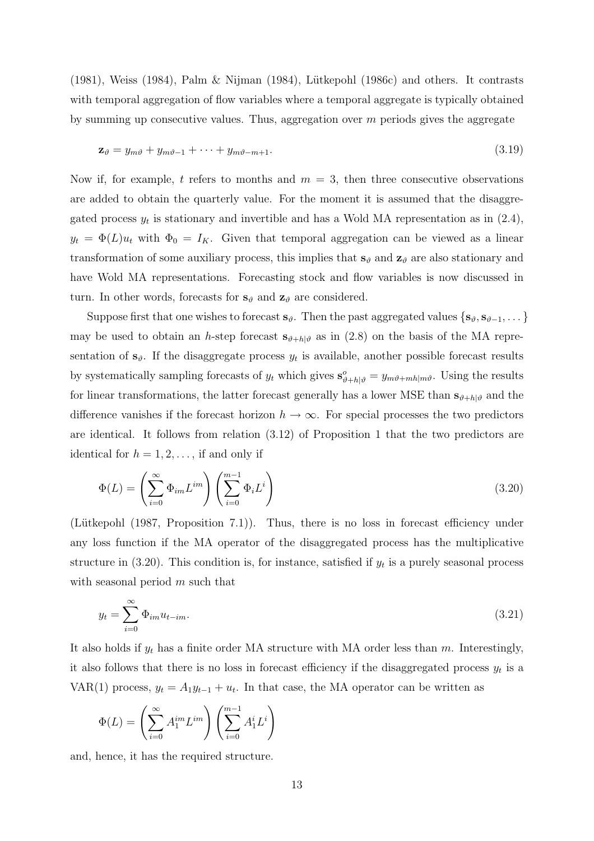(1981), Weiss (1984), Palm & Nijman (1984), Lütkepohl (1986c) and others. It contrasts with temporal aggregation of flow variables where a temporal aggregate is typically obtained by summing up consecutive values. Thus, aggregation over  $m$  periods gives the aggregate

$$
\mathbf{z}_{\theta} = y_{m\theta} + y_{m\theta - 1} + \dots + y_{m\theta - m + 1}.
$$
\n(3.19)

Now if, for example, t refers to months and  $m = 3$ , then three consecutive observations are added to obtain the quarterly value. For the moment it is assumed that the disaggregated process  $y_t$  is stationary and invertible and has a Wold MA representation as in  $(2.4)$ ,  $y_t = \Phi(L)u_t$  with  $\Phi_0 = I_K$ . Given that temporal aggregation can be viewed as a linear transformation of some auxiliary process, this implies that  $\mathbf{s}_{\theta}$  and  $\mathbf{z}_{\theta}$  are also stationary and have Wold MA representations. Forecasting stock and flow variables is now discussed in turn. In other words, forecasts for  $s_{\theta}$  and  $z_{\theta}$  are considered.

Suppose first that one wishes to forecast  $\mathbf{s}_{\vartheta}$ . Then the past aggregated values  $\{\mathbf{s}_{\vartheta}, \mathbf{s}_{\vartheta-1}, \dots\}$ may be used to obtain an h-step forecast  $s_{\theta+h|\theta}$  as in (2.8) on the basis of the MA representation of  $s_{\theta}$ . If the disaggregate process  $y_t$  is available, another possible forecast results by systematically sampling forecasts of  $y_t$  which gives  $\mathbf{s}_{\vartheta+h|\vartheta}^o = y_{m\vartheta+mh|m\vartheta}$ . Using the results for linear transformations, the latter forecast generally has a lower MSE than  $\mathbf{s}_{\theta+h|\theta}$  and the difference vanishes if the forecast horizon  $h \to \infty$ . For special processes the two predictors are identical. It follows from relation (3.12) of Proposition 1 that the two predictors are identical for  $h = 1, 2, \ldots$ , if and only if

$$
\Phi(L) = \left(\sum_{i=0}^{\infty} \Phi_{im} L^{im}\right) \left(\sum_{i=0}^{m-1} \Phi_i L^i\right)
$$
\n(3.20)

(Lütkepohl (1987, Proposition 7.1)). Thus, there is no loss in forecast efficiency under any loss function if the MA operator of the disaggregated process has the multiplicative structure in  $(3.20)$ . This condition is, for instance, satisfied if  $y_t$  is a purely seasonal process with seasonal period  $m$  such that

$$
y_t = \sum_{i=0}^{\infty} \Phi_{im} u_{t-im}.
$$
\n(3.21)

It also holds if  $y_t$  has a finite order MA structure with MA order less than m. Interestingly, it also follows that there is no loss in forecast efficiency if the disaggregated process  $y_t$  is a VAR(1) process,  $y_t = A_1 y_{t-1} + u_t$ . In that case, the MA operator can be written as

$$
\Phi(L) = \left(\sum_{i=0}^{\infty} A_1^{im} L^{im}\right) \left(\sum_{i=0}^{m-1} A_1^i L^i\right)
$$

and, hence, it has the required structure.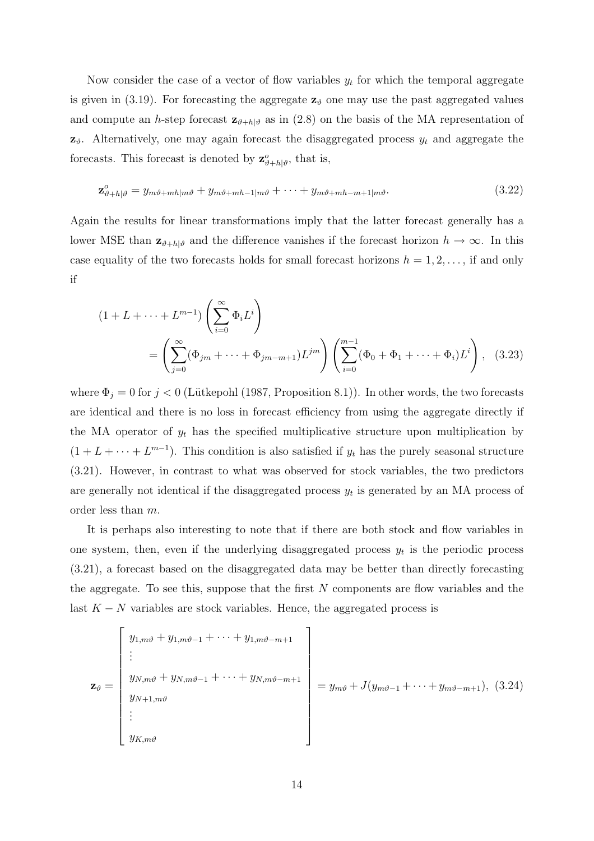Now consider the case of a vector of flow variables  $y_t$  for which the temporal aggregate is given in (3.19). For forecasting the aggregate  $z_{\theta}$  one may use the past aggregated values and compute an h-step forecast  $\mathbf{z}_{\theta+h|\theta}$  as in (2.8) on the basis of the MA representation of  $z_{\vartheta}$ . Alternatively, one may again forecast the disaggregated process  $y_t$  and aggregate the forecasts. This forecast is denoted by  $\mathbf{z}_{\vartheta+h|\vartheta}^o$ , that is,

$$
\mathbf{z}_{\vartheta+h|\vartheta}^o = y_{m\vartheta+mh|m\vartheta} + y_{m\vartheta+mh-1|m\vartheta} + \dots + y_{m\vartheta+mh-m+1|m\vartheta}.
$$
\n(3.22)

Again the results for linear transformations imply that the latter forecast generally has a lower MSE than  $\mathbf{z}_{\vartheta+h|\vartheta}$  and the difference vanishes if the forecast horizon  $h \to \infty$ . In this case equality of the two forecasts holds for small forecast horizons  $h = 1, 2, \ldots$ , if and only if

$$
(1 + L + \dots + L^{m-1}) \left( \sum_{i=0}^{\infty} \Phi_i L^i \right)
$$
  
= 
$$
\left( \sum_{j=0}^{\infty} (\Phi_{jm} + \dots + \Phi_{jm-m+1}) L^{jm} \right) \left( \sum_{i=0}^{m-1} (\Phi_0 + \Phi_1 + \dots + \Phi_i) L^i \right),
$$
 (3.23)

where  $\Phi_j = 0$  for  $j < 0$  (Lütkepohl (1987, Proposition 8.1)). In other words, the two forecasts are identical and there is no loss in forecast efficiency from using the aggregate directly if the MA operator of  $y_t$  has the specified multiplicative structure upon multiplication by  $(1 + L + \cdots + L^{m-1})$ . This condition is also satisfied if  $y_t$  has the purely seasonal structure (3.21). However, in contrast to what was observed for stock variables, the two predictors are generally not identical if the disaggregated process  $y_t$  is generated by an MA process of order less than m.

It is perhaps also interesting to note that if there are both stock and flow variables in one system, then, even if the underlying disaggregated process  $y_t$  is the periodic process (3.21), a forecast based on the disaggregated data may be better than directly forecasting the aggregate. To see this, suppose that the first  $N$  components are flow variables and the last  $K - N$  variables are stock variables. Hence, the aggregated process is

$$
\mathbf{z}_{\vartheta} = \begin{bmatrix} y_{1,m\vartheta} + y_{1,m\vartheta-1} + \cdots + y_{1,m\vartheta-m+1} \\ \vdots \\ y_{N,m\vartheta} + y_{N,m\vartheta-1} + \cdots + y_{N,m\vartheta-m+1} \\ y_{N+1,m\vartheta} \\ \vdots \\ y_{K,m\vartheta} \end{bmatrix} = y_{m\vartheta} + J(y_{m\vartheta-1} + \cdots + y_{m\vartheta-m+1}), (3.24)
$$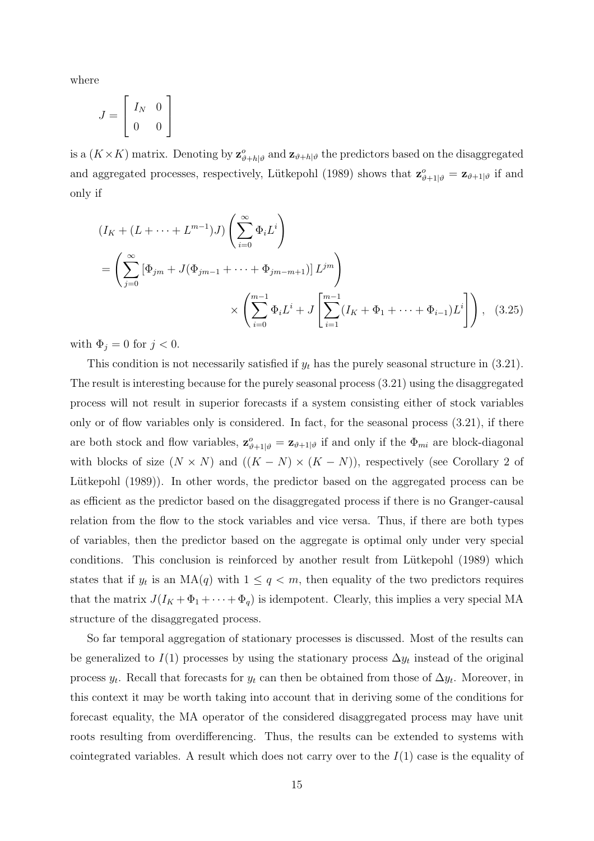where

$$
J = \left[ \begin{array}{cc} I_N & 0 \\ 0 & 0 \end{array} \right]
$$

is a  $(K \times K)$  matrix. Denoting by  $\mathbf{z}_{\vartheta+h|\vartheta}^o$  and  $\mathbf{z}_{\vartheta+h|\vartheta}$  the predictors based on the disaggregated and aggregated processes, respectively, Lütkepohl (1989) shows that  $\mathbf{z}_{\vartheta+1|\vartheta}^o = \mathbf{z}_{\vartheta+1|\vartheta}$  if and only if

$$
(I_K + (L + \dots + L^{m-1})J) \left(\sum_{i=0}^{\infty} \Phi_i L^i\right)
$$
  
=  $\left(\sum_{j=0}^{\infty} \left[\Phi_{jm} + J(\Phi_{jm-1} + \dots + \Phi_{jm-m+1})\right] L^{jm}\right)$   
 $\times \left(\sum_{i=0}^{m-1} \Phi_i L^i + J \left[\sum_{i=1}^{m-1} (I_K + \Phi_1 + \dots + \Phi_{i-1})L^i\right]\right)$ , (3.25)

with  $\Phi_j = 0$  for  $j < 0$ .

This condition is not necessarily satisfied if  $y_t$  has the purely seasonal structure in (3.21). The result is interesting because for the purely seasonal process (3.21) using the disaggregated process will not result in superior forecasts if a system consisting either of stock variables only or of flow variables only is considered. In fact, for the seasonal process (3.21), if there are both stock and flow variables,  $\mathbf{z}_{\vartheta+1|\vartheta}^o = \mathbf{z}_{\vartheta+1|\vartheta}$  if and only if the  $\Phi_{mi}$  are block-diagonal with blocks of size  $(N \times N)$  and  $((K - N) \times (K - N))$ , respectively (see Corollary 2 of Lütkepohl (1989)). In other words, the predictor based on the aggregated process can be as efficient as the predictor based on the disaggregated process if there is no Granger-causal relation from the flow to the stock variables and vice versa. Thus, if there are both types of variables, then the predictor based on the aggregate is optimal only under very special conditions. This conclusion is reinforced by another result from Lutkepohl (1989) which states that if  $y_t$  is an MA(q) with  $1 \le q < m$ , then equality of the two predictors requires that the matrix  $J(I_K + \Phi_1 + \cdots + \Phi_q)$  is idempotent. Clearly, this implies a very special MA structure of the disaggregated process.

So far temporal aggregation of stationary processes is discussed. Most of the results can be generalized to  $I(1)$  processes by using the stationary process  $\Delta y_t$  instead of the original process  $y_t$ . Recall that forecasts for  $y_t$  can then be obtained from those of  $\Delta y_t$ . Moreover, in this context it may be worth taking into account that in deriving some of the conditions for forecast equality, the MA operator of the considered disaggregated process may have unit roots resulting from overdifferencing. Thus, the results can be extended to systems with cointegrated variables. A result which does not carry over to the  $I(1)$  case is the equality of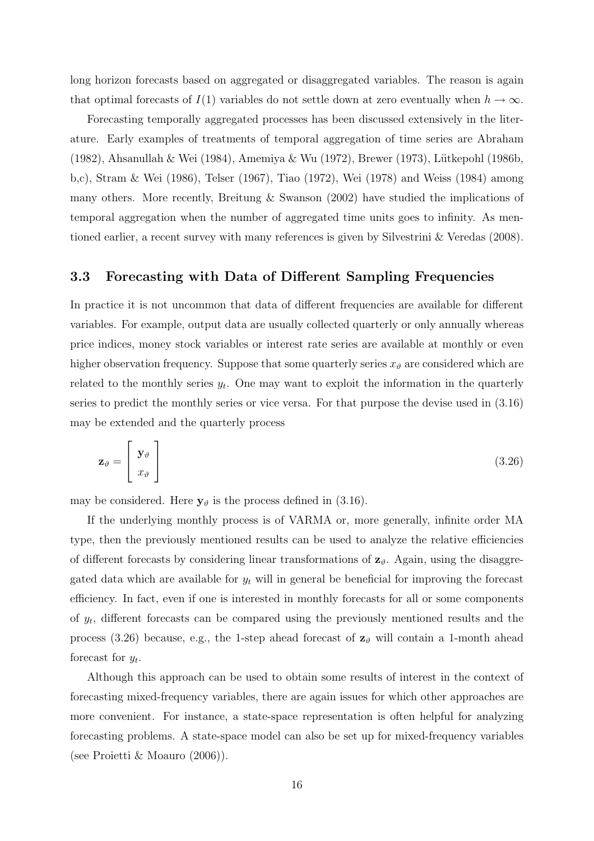long horizon forecasts based on aggregated or disaggregated variables. The reason is again that optimal forecasts of  $I(1)$  variables do not settle down at zero eventually when  $h \to \infty$ .

Forecasting temporally aggregated processes has been discussed extensively in the literature. Early examples of treatments of temporal aggregation of time series are Abraham (1982), Ahsanullah & Wei (1984), Amemiya & Wu (1972), Brewer (1973), Lütkepohl (1986b, b,c), Stram & Wei (1986), Telser (1967), Tiao (1972), Wei (1978) and Weiss (1984) among many others. More recently, Breitung & Swanson (2002) have studied the implications of temporal aggregation when the number of aggregated time units goes to infinity. As mentioned earlier, a recent survey with many references is given by Silvestrini & Veredas (2008).

#### **3.3 Forecasting with Data of Different Sampling Frequencies**

In practice it is not uncommon that data of different frequencies are available for different variables. For example, output data are usually collected quarterly or only annually whereas price indices, money stock variables or interest rate series are available at monthly or even higher observation frequency. Suppose that some quarterly series  $x_{\theta}$  are considered which are related to the monthly series  $y_t$ . One may want to exploit the information in the quarterly series to predict the monthly series or vice versa. For that purpose the devise used in (3.16) may be extended and the quarterly process

$$
\mathbf{z}_{\vartheta} = \begin{bmatrix} \mathbf{y}_{\vartheta} \\ x_{\vartheta} \end{bmatrix} \tag{3.26}
$$

may be considered. Here  $y_{\vartheta}$  is the process defined in (3.16).

If the underlying monthly process is of VARMA or, more generally, infinite order MA type, then the previously mentioned results can be used to analyze the relative efficiencies of different forecasts by considering linear transformations of  $z_{\theta}$ . Again, using the disaggregated data which are available for  $y_t$  will in general be beneficial for improving the forecast efficiency. In fact, even if one is interested in monthly forecasts for all or some components of  $y_t$ , different forecasts can be compared using the previously mentioned results and the process (3.26) because, e.g., the 1-step ahead forecast of  $z_{\theta}$  will contain a 1-month ahead forecast for  $y_t$ .

Although this approach can be used to obtain some results of interest in the context of forecasting mixed-frequency variables, there are again issues for which other approaches are more convenient. For instance, a state-space representation is often helpful for analyzing forecasting problems. A state-space model can also be set up for mixed-frequency variables (see Proietti & Moauro (2006)).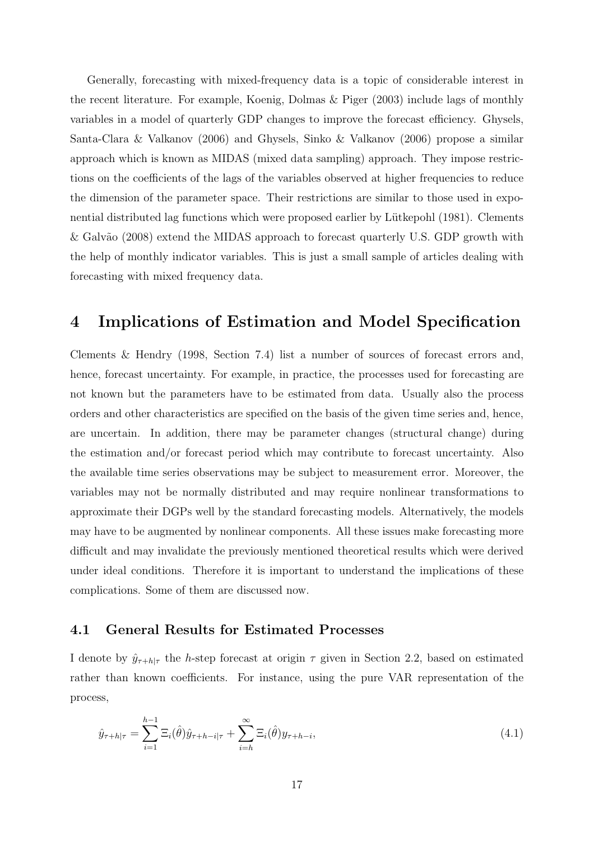Generally, forecasting with mixed-frequency data is a topic of considerable interest in the recent literature. For example, Koenig, Dolmas & Piger (2003) include lags of monthly variables in a model of quarterly GDP changes to improve the forecast efficiency. Ghysels, Santa-Clara & Valkanov (2006) and Ghysels, Sinko & Valkanov (2006) propose a similar approach which is known as MIDAS (mixed data sampling) approach. They impose restrictions on the coefficients of the lags of the variables observed at higher frequencies to reduce the dimension of the parameter space. Their restrictions are similar to those used in exponential distributed lag functions which were proposed earlier by Lütkepohl (1981). Clements & Galvão (2008) extend the MIDAS approach to forecast quarterly U.S. GDP growth with the help of monthly indicator variables. This is just a small sample of articles dealing with forecasting with mixed frequency data.

## **4 Implications of Estimation and Model Specification**

Clements & Hendry (1998, Section 7.4) list a number of sources of forecast errors and, hence, forecast uncertainty. For example, in practice, the processes used for forecasting are not known but the parameters have to be estimated from data. Usually also the process orders and other characteristics are specified on the basis of the given time series and, hence, are uncertain. In addition, there may be parameter changes (structural change) during the estimation and/or forecast period which may contribute to forecast uncertainty. Also the available time series observations may be subject to measurement error. Moreover, the variables may not be normally distributed and may require nonlinear transformations to approximate their DGPs well by the standard forecasting models. Alternatively, the models may have to be augmented by nonlinear components. All these issues make forecasting more difficult and may invalidate the previously mentioned theoretical results which were derived under ideal conditions. Therefore it is important to understand the implications of these complications. Some of them are discussed now.

#### **4.1 General Results for Estimated Processes**

I denote by  $\hat{y}_{\tau+h|\tau}$  the h-step forecast at origin  $\tau$  given in Section 2.2, based on estimated rather than known coefficients. For instance, using the pure VAR representation of the process,

$$
\hat{y}_{\tau+h|\tau} = \sum_{i=1}^{h-1} \Xi_i(\hat{\theta}) \hat{y}_{\tau+h-i|\tau} + \sum_{i=h}^{\infty} \Xi_i(\hat{\theta}) y_{\tau+h-i},
$$
\n(4.1)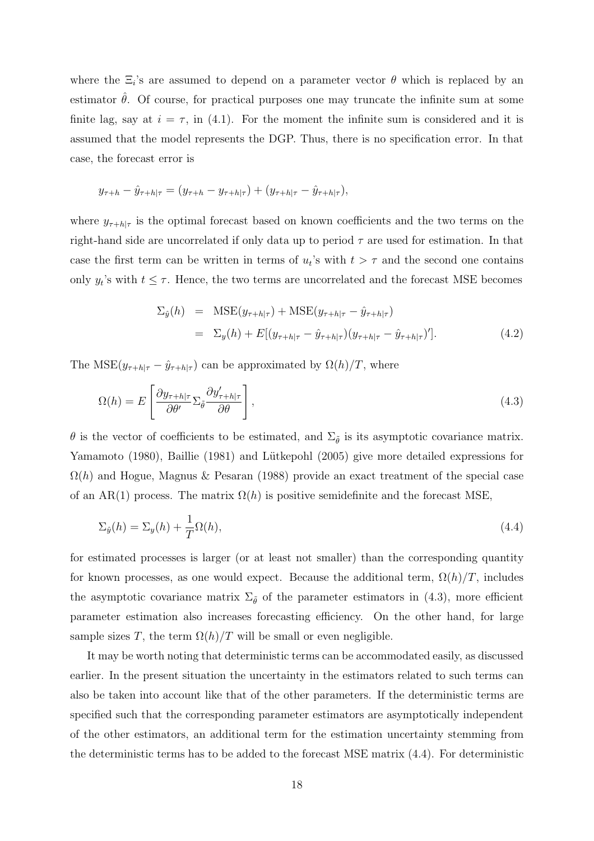where the  $\Xi_i$ 's are assumed to depend on a parameter vector  $\theta$  which is replaced by an estimator  $\hat{\theta}$ . Of course, for practical purposes one may truncate the infinite sum at some finite lag, say at  $i = \tau$ , in (4.1). For the moment the infinite sum is considered and it is assumed that the model represents the DGP. Thus, there is no specification error. In that case, the forecast error is

$$
y_{\tau+h} - \hat{y}_{\tau+h|\tau} = (y_{\tau+h} - y_{\tau+h|\tau}) + (y_{\tau+h|\tau} - \hat{y}_{\tau+h|\tau}),
$$

where  $y_{\tau+h|\tau}$  is the optimal forecast based on known coefficients and the two terms on the right-hand side are uncorrelated if only data up to period  $\tau$  are used for estimation. In that case the first term can be written in terms of  $u_t$ 's with  $t > \tau$  and the second one contains only  $y_t$ 's with  $t \leq \tau$ . Hence, the two terms are uncorrelated and the forecast MSE becomes

$$
\Sigma_{\hat{y}}(h) = \text{MSE}(y_{\tau+h|\tau}) + \text{MSE}(y_{\tau+h|\tau} - \hat{y}_{\tau+h|\tau})
$$
  
=  $\Sigma_y(h) + E[(y_{\tau+h|\tau} - \hat{y}_{\tau+h|\tau})(y_{\tau+h|\tau} - \hat{y}_{\tau+h|\tau})']$ . (4.2)

The MSE $(y_{\tau+h|\tau} - \hat{y}_{\tau+h|\tau})$  can be approximated by  $\Omega(h)/T$ , where

$$
\Omega(h) = E\left[\frac{\partial y_{\tau+h|\tau}}{\partial \theta'} \Sigma_{\tilde{\theta}} \frac{\partial y'_{\tau+h|\tau}}{\partial \theta}\right],\tag{4.3}
$$

 $\theta$  is the vector of coefficients to be estimated, and  $\Sigma_{\tilde{\theta}}$  is its asymptotic covariance matrix. Yamamoto (1980), Baillie (1981) and Lütkepohl (2005) give more detailed expressions for  $\Omega(h)$  and Hogue, Magnus & Pesaran (1988) provide an exact treatment of the special case of an AR(1) process. The matrix  $\Omega(h)$  is positive semidefinite and the forecast MSE,

$$
\Sigma_{\hat{y}}(h) = \Sigma_{y}(h) + \frac{1}{T}\Omega(h),\tag{4.4}
$$

for estimated processes is larger (or at least not smaller) than the corresponding quantity for known processes, as one would expect. Because the additional term,  $\Omega(h)/T$ , includes the asymptotic covariance matrix  $\Sigma_{\tilde{\theta}}$  of the parameter estimators in (4.3), more efficient parameter estimation also increases forecasting efficiency. On the other hand, for large sample sizes T, the term  $\Omega(h)/T$  will be small or even negligible.

It may be worth noting that deterministic terms can be accommodated easily, as discussed earlier. In the present situation the uncertainty in the estimators related to such terms can also be taken into account like that of the other parameters. If the deterministic terms are specified such that the corresponding parameter estimators are asymptotically independent of the other estimators, an additional term for the estimation uncertainty stemming from the deterministic terms has to be added to the forecast MSE matrix (4.4). For deterministic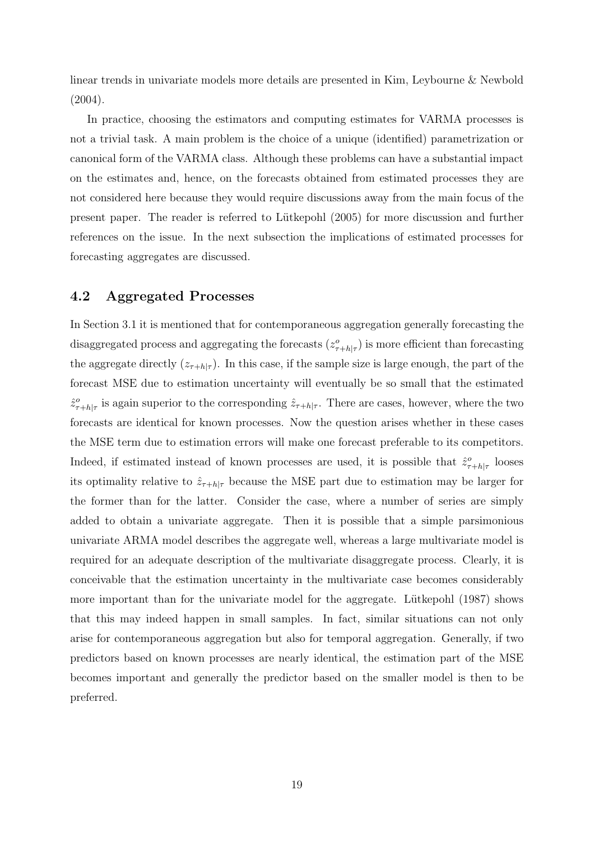linear trends in univariate models more details are presented in Kim, Leybourne & Newbold (2004).

In practice, choosing the estimators and computing estimates for VARMA processes is not a trivial task. A main problem is the choice of a unique (identified) parametrization or canonical form of the VARMA class. Although these problems can have a substantial impact on the estimates and, hence, on the forecasts obtained from estimated processes they are not considered here because they would require discussions away from the main focus of the present paper. The reader is referred to L¨utkepohl (2005) for more discussion and further references on the issue. In the next subsection the implications of estimated processes for forecasting aggregates are discussed.

#### **4.2 Aggregated Processes**

In Section 3.1 it is mentioned that for contemporaneous aggregation generally forecasting the disaggregated process and aggregating the forecasts  $(z_{\tau+h|\tau}^o)$  is more efficient than forecasting the aggregate directly  $(z_{\tau+h|\tau})$ . In this case, if the sample size is large enough, the part of the forecast MSE due to estimation uncertainty will eventually be so small that the estimated  $\hat{z}_{\tau+h|\tau}^o$  is again superior to the corresponding  $\hat{z}_{\tau+h|\tau}$ . There are cases, however, where the two forecasts are identical for known processes. Now the question arises whether in these cases the MSE term due to estimation errors will make one forecast preferable to its competitors. Indeed, if estimated instead of known processes are used, it is possible that  $\hat{z}_{\tau+h|\tau}^o$  looses its optimality relative to  $\hat{z}_{\tau+h|\tau}$  because the MSE part due to estimation may be larger for the former than for the latter. Consider the case, where a number of series are simply added to obtain a univariate aggregate. Then it is possible that a simple parsimonious univariate ARMA model describes the aggregate well, whereas a large multivariate model is required for an adequate description of the multivariate disaggregate process. Clearly, it is conceivable that the estimation uncertainty in the multivariate case becomes considerably more important than for the univariate model for the aggregate. Lutkepohl (1987) shows that this may indeed happen in small samples. In fact, similar situations can not only arise for contemporaneous aggregation but also for temporal aggregation. Generally, if two predictors based on known processes are nearly identical, the estimation part of the MSE becomes important and generally the predictor based on the smaller model is then to be preferred.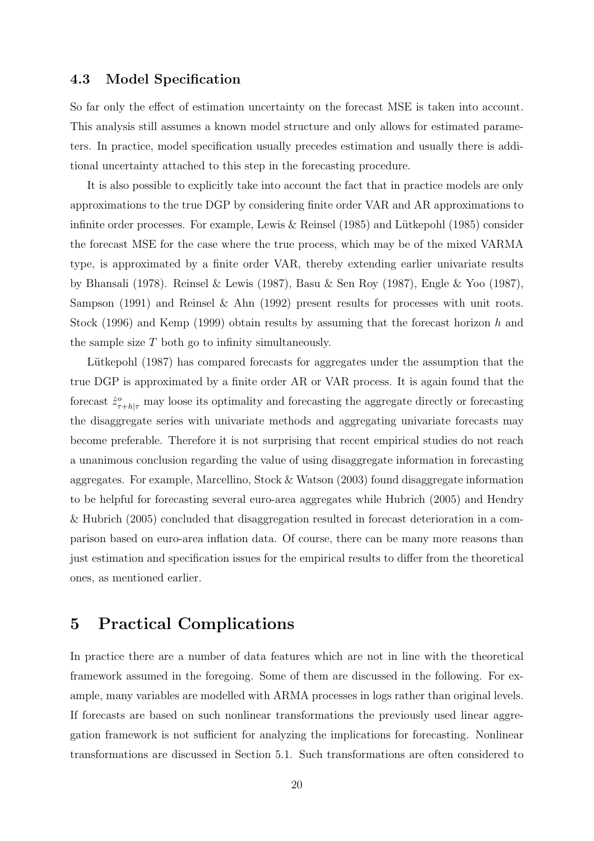## **4.3 Model Specification**

So far only the effect of estimation uncertainty on the forecast MSE is taken into account. This analysis still assumes a known model structure and only allows for estimated parameters. In practice, model specification usually precedes estimation and usually there is additional uncertainty attached to this step in the forecasting procedure.

It is also possible to explicitly take into account the fact that in practice models are only approximations to the true DGP by considering finite order VAR and AR approximations to infinite order processes. For example, Lewis  $&$  Reinsel (1985) and Lütkepohl (1985) consider the forecast MSE for the case where the true process, which may be of the mixed VARMA type, is approximated by a finite order VAR, thereby extending earlier univariate results by Bhansali (1978). Reinsel & Lewis (1987), Basu & Sen Roy (1987), Engle & Yoo (1987), Sampson (1991) and Reinsel & Ahn (1992) present results for processes with unit roots. Stock (1996) and Kemp (1999) obtain results by assuming that the forecast horizon h and the sample size  $T$  both go to infinity simultaneously.

Lütkepohl (1987) has compared forecasts for aggregates under the assumption that the true DGP is approximated by a finite order AR or VAR process. It is again found that the forecast  $\hat{z}_{\tau+h|\tau}^o$  may loose its optimality and forecasting the aggregate directly or forecasting the disaggregate series with univariate methods and aggregating univariate forecasts may become preferable. Therefore it is not surprising that recent empirical studies do not reach a unanimous conclusion regarding the value of using disaggregate information in forecasting aggregates. For example, Marcellino, Stock & Watson (2003) found disaggregate information to be helpful for forecasting several euro-area aggregates while Hubrich (2005) and Hendry & Hubrich (2005) concluded that disaggregation resulted in forecast deterioration in a comparison based on euro-area inflation data. Of course, there can be many more reasons than just estimation and specification issues for the empirical results to differ from the theoretical ones, as mentioned earlier.

## **5 Practical Complications**

In practice there are a number of data features which are not in line with the theoretical framework assumed in the foregoing. Some of them are discussed in the following. For example, many variables are modelled with ARMA processes in logs rather than original levels. If forecasts are based on such nonlinear transformations the previously used linear aggregation framework is not sufficient for analyzing the implications for forecasting. Nonlinear transformations are discussed in Section 5.1. Such transformations are often considered to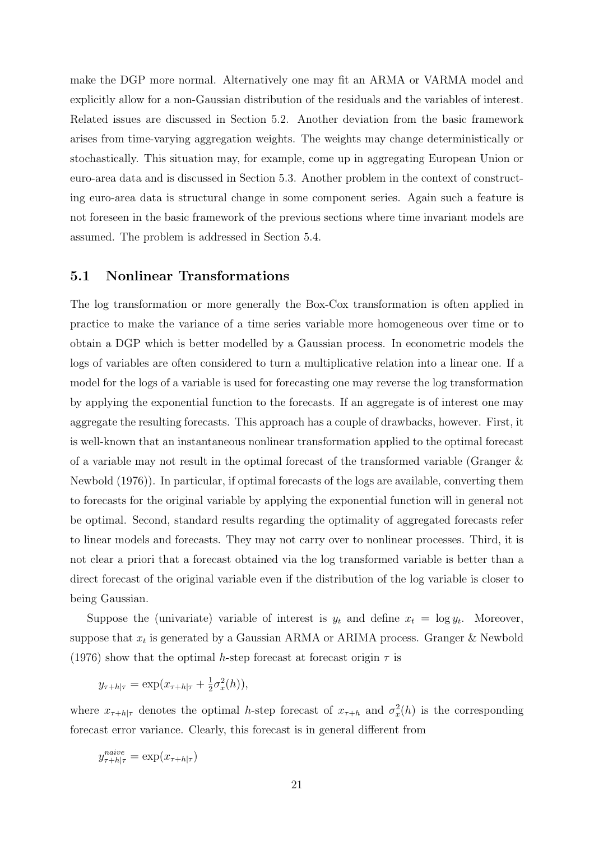make the DGP more normal. Alternatively one may fit an ARMA or VARMA model and explicitly allow for a non-Gaussian distribution of the residuals and the variables of interest. Related issues are discussed in Section 5.2. Another deviation from the basic framework arises from time-varying aggregation weights. The weights may change deterministically or stochastically. This situation may, for example, come up in aggregating European Union or euro-area data and is discussed in Section 5.3. Another problem in the context of constructing euro-area data is structural change in some component series. Again such a feature is not foreseen in the basic framework of the previous sections where time invariant models are assumed. The problem is addressed in Section 5.4.

#### **5.1 Nonlinear Transformations**

The log transformation or more generally the Box-Cox transformation is often applied in practice to make the variance of a time series variable more homogeneous over time or to obtain a DGP which is better modelled by a Gaussian process. In econometric models the logs of variables are often considered to turn a multiplicative relation into a linear one. If a model for the logs of a variable is used for forecasting one may reverse the log transformation by applying the exponential function to the forecasts. If an aggregate is of interest one may aggregate the resulting forecasts. This approach has a couple of drawbacks, however. First, it is well-known that an instantaneous nonlinear transformation applied to the optimal forecast of a variable may not result in the optimal forecast of the transformed variable (Granger & Newbold (1976)). In particular, if optimal forecasts of the logs are available, converting them to forecasts for the original variable by applying the exponential function will in general not be optimal. Second, standard results regarding the optimality of aggregated forecasts refer to linear models and forecasts. They may not carry over to nonlinear processes. Third, it is not clear a priori that a forecast obtained via the log transformed variable is better than a direct forecast of the original variable even if the distribution of the log variable is closer to being Gaussian.

Suppose the (univariate) variable of interest is  $y_t$  and define  $x_t = \log y_t$ . Moreover, suppose that  $x_t$  is generated by a Gaussian ARMA or ARIMA process. Granger & Newbold (1976) show that the optimal h-step forecast at forecast origin  $\tau$  is

$$
y_{\tau+h|\tau} = \exp(x_{\tau+h|\tau} + \frac{1}{2}\sigma_x^2(h)),
$$

where  $x_{\tau+h|\tau}$  denotes the optimal h-step forecast of  $x_{\tau+h}$  and  $\sigma_x^2(h)$  is the corresponding forecast error variance. Clearly, this forecast is in general different from

$$
y_{\tau+h|\tau}^{naive} = \exp(x_{\tau+h|\tau})
$$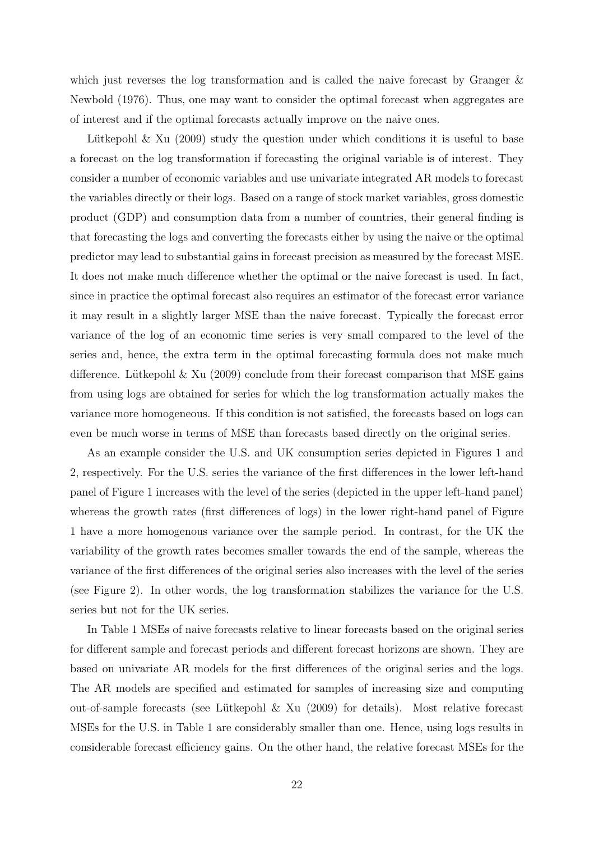which just reverses the log transformation and is called the naive forecast by Granger & Newbold (1976). Thus, one may want to consider the optimal forecast when aggregates are of interest and if the optimal forecasts actually improve on the naive ones.

Lütkepohl & Xu (2009) study the question under which conditions it is useful to base a forecast on the log transformation if forecasting the original variable is of interest. They consider a number of economic variables and use univariate integrated AR models to forecast the variables directly or their logs. Based on a range of stock market variables, gross domestic product (GDP) and consumption data from a number of countries, their general finding is that forecasting the logs and converting the forecasts either by using the naive or the optimal predictor may lead to substantial gains in forecast precision as measured by the forecast MSE. It does not make much difference whether the optimal or the naive forecast is used. In fact, since in practice the optimal forecast also requires an estimator of the forecast error variance it may result in a slightly larger MSE than the naive forecast. Typically the forecast error variance of the log of an economic time series is very small compared to the level of the series and, hence, the extra term in the optimal forecasting formula does not make much difference. Lütkepohl  $\&$  Xu (2009) conclude from their forecast comparison that MSE gains from using logs are obtained for series for which the log transformation actually makes the variance more homogeneous. If this condition is not satisfied, the forecasts based on logs can even be much worse in terms of MSE than forecasts based directly on the original series.

As an example consider the U.S. and UK consumption series depicted in Figures 1 and 2, respectively. For the U.S. series the variance of the first differences in the lower left-hand panel of Figure 1 increases with the level of the series (depicted in the upper left-hand panel) whereas the growth rates (first differences of logs) in the lower right-hand panel of Figure 1 have a more homogenous variance over the sample period. In contrast, for the UK the variability of the growth rates becomes smaller towards the end of the sample, whereas the variance of the first differences of the original series also increases with the level of the series (see Figure 2). In other words, the log transformation stabilizes the variance for the U.S. series but not for the UK series.

In Table 1 MSEs of naive forecasts relative to linear forecasts based on the original series for different sample and forecast periods and different forecast horizons are shown. They are based on univariate AR models for the first differences of the original series and the logs. The AR models are specified and estimated for samples of increasing size and computing out-of-sample forecasts (see Lütkepohl  $\&$  Xu (2009) for details). Most relative forecast MSEs for the U.S. in Table 1 are considerably smaller than one. Hence, using logs results in considerable forecast efficiency gains. On the other hand, the relative forecast MSEs for the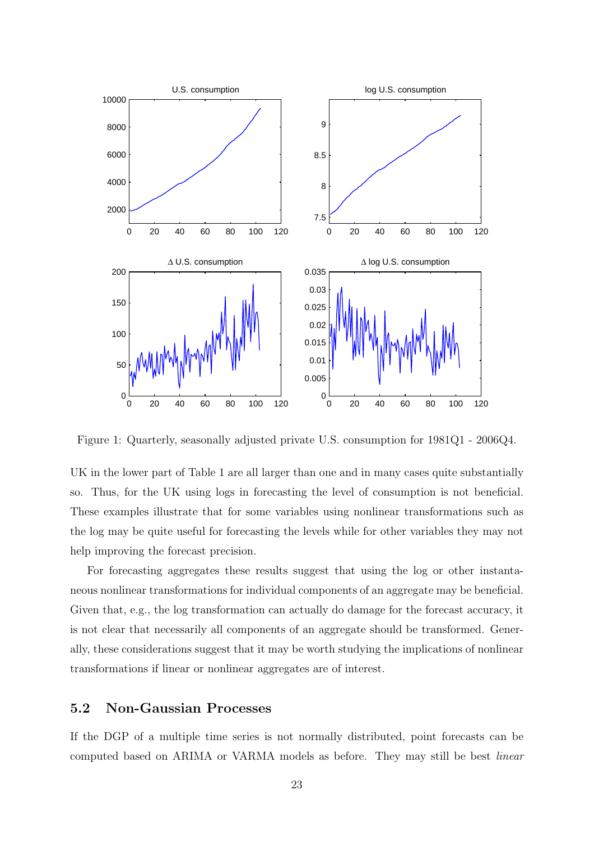

Figure 1: Quarterly, seasonally adjusted private U.S. consumption for 1981Q1 - 2006Q4.

UK in the lower part of Table 1 are all larger than one and in many cases quite substantially so. Thus, for the UK using logs in forecasting the level of consumption is not beneficial. These examples illustrate that for some variables using nonlinear transformations such as the log may be quite useful for forecasting the levels while for other variables they may not help improving the forecast precision.

For forecasting aggregates these results suggest that using the log or other instantaneous nonlinear transformations for individual components of an aggregate may be beneficial. Given that, e.g., the log transformation can actually do damage for the forecast accuracy, it is not clear that necessarily all components of an aggregate should be transformed. Generally, these considerations suggest that it may be worth studying the implications of nonlinear transformations if linear or nonlinear aggregates are of interest.

## **5.2 Non-Gaussian Processes**

If the DGP of a multiple time series is not normally distributed, point forecasts can be computed based on ARIMA or VARMA models as before. They may still be best linear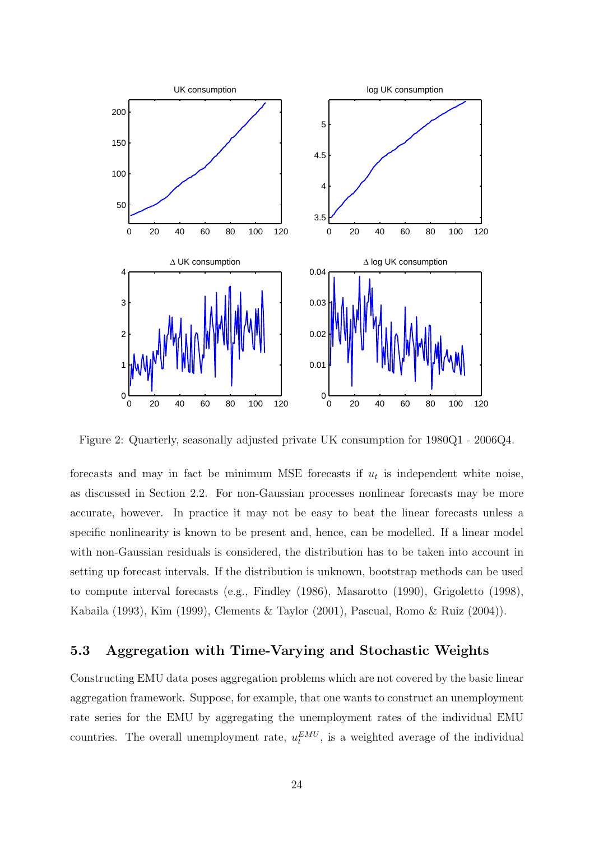

Figure 2: Quarterly, seasonally adjusted private UK consumption for 1980Q1 - 2006Q4.

forecasts and may in fact be minimum MSE forecasts if  $u_t$  is independent white noise, as discussed in Section 2.2. For non-Gaussian processes nonlinear forecasts may be more accurate, however. In practice it may not be easy to beat the linear forecasts unless a specific nonlinearity is known to be present and, hence, can be modelled. If a linear model with non-Gaussian residuals is considered, the distribution has to be taken into account in setting up forecast intervals. If the distribution is unknown, bootstrap methods can be used to compute interval forecasts (e.g., Findley (1986), Masarotto (1990), Grigoletto (1998), Kabaila (1993), Kim (1999), Clements & Taylor (2001), Pascual, Romo & Ruiz (2004)).

## **5.3 Aggregation with Time-Varying and Stochastic Weights**

Constructing EMU data poses aggregation problems which are not covered by the basic linear aggregation framework. Suppose, for example, that one wants to construct an unemployment rate series for the EMU by aggregating the unemployment rates of the individual EMU countries. The overall unemployment rate,  $u_t^{EMU}$ , is a weighted average of the individual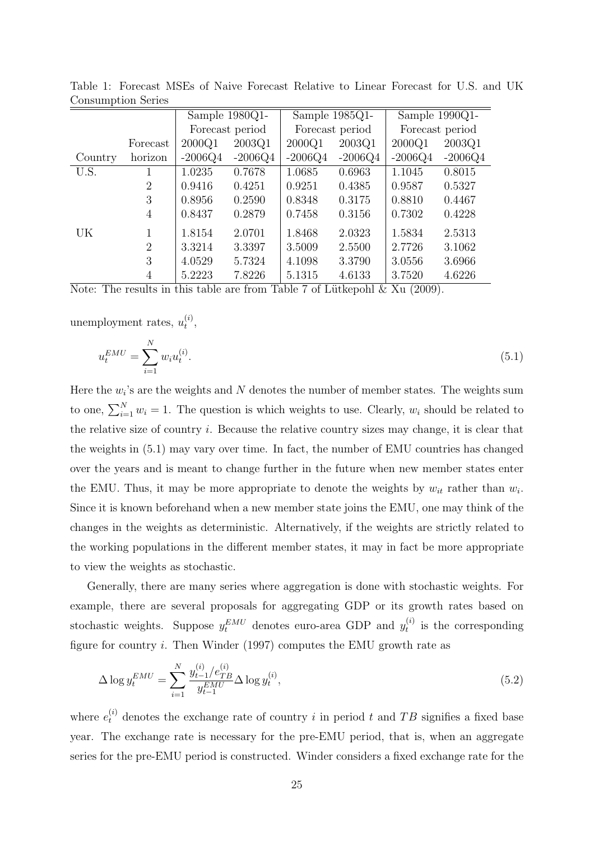|           |                | Sample 1980Q1-  |           | Sample 1985Q1-  |           | Sample 1990Q1-  |           |
|-----------|----------------|-----------------|-----------|-----------------|-----------|-----------------|-----------|
|           |                | Forecast period |           | Forecast period |           | Forecast period |           |
|           | Forecast       | 2000Q1          | 2003Q1    | 2000Q1          | 2003Q1    | 2000Q1          | 2003Q1    |
| Country   | horizon        | $-2006Q4$       | $-2006Q4$ | $-2006Q4$       | $-2006Q4$ | $-2006Q4$       | $-2006Q4$ |
| U.S.      | 1              | 1.0235          | 0.7678    | 1.0685          | 0.6963    | 1.1045          | 0.8015    |
|           | $\overline{2}$ | 0.9416          | 0.4251    | 0.9251          | 0.4385    | 0.9587          | 0.5327    |
|           | 3              | 0.8956          | 0.2590    | 0.8348          | 0.3175    | 0.8810          | 0.4467    |
|           | $\overline{4}$ | 0.8437          | 0.2879    | 0.7458          | 0.3156    | 0.7302          | 0.4228    |
| <b>UK</b> | 1              | 1.8154          | 2.0701    | 1.8468          | 2.0323    | 1.5834          | 2.5313    |
|           | $\overline{2}$ | 3.3214          | 3.3397    | 3.5009          | 2.5500    | 2.7726          | 3.1062    |
|           | 3              | 4.0529          | 5.7324    | 4.1098          | 3.3790    | 3.0556          | 3.6966    |
|           | 4              | 5.2223          | 7.8226    | 5.1315          | 4.6133    | 3.7520          | 4.6226    |

Table 1: Forecast MSEs of Naive Forecast Relative to Linear Forecast for U.S. and UK Consumption Series

Note: The results in this table are from Table 7 of Lütkepohl  $\&$  Xu (2009).

unemployment rates,  $u_t^{(i)}$ ,

$$
u_t^{EMU} = \sum_{i=1}^{N} w_i u_t^{(i)}.
$$
\n(5.1)

Here the  $w_i$ 's are the weights and N denotes the number of member states. The weights sum to one,  $\sum_{i=1}^{N} w_i = 1$ . The question is which weights to use. Clearly,  $w_i$  should be related to the relative size of country i. Because the relative country sizes may change, it is clear that the weights in (5.1) may vary over time. In fact, the number of EMU countries has changed over the years and is meant to change further in the future when new member states enter the EMU. Thus, it may be more appropriate to denote the weights by  $w_{it}$  rather than  $w_i$ . Since it is known beforehand when a new member state joins the EMU, one may think of the changes in the weights as deterministic. Alternatively, if the weights are strictly related to the working populations in the different member states, it may in fact be more appropriate to view the weights as stochastic.

Generally, there are many series where aggregation is done with stochastic weights. For example, there are several proposals for aggregating GDP or its growth rates based on stochastic weights. Suppose  $y_t^{EMU}$  denotes euro-area GDP and  $y_t^{(i)}$  is the corresponding figure for country  $i$ . Then Winder (1997) computes the EMU growth rate as

$$
\Delta \log y_t^{EMU} = \sum_{i=1}^{N} \frac{y_{t-1}^{(i)}/e_{TB}^{(i)}}{y_{t-1}^{EMU}} \Delta \log y_t^{(i)},
$$
\n(5.2)

where  $e_t^{(i)}$  denotes the exchange rate of country i in period t and TB signifies a fixed base year. The exchange rate is necessary for the pre-EMU period, that is, when an aggregate series for the pre-EMU period is constructed. Winder considers a fixed exchange rate for the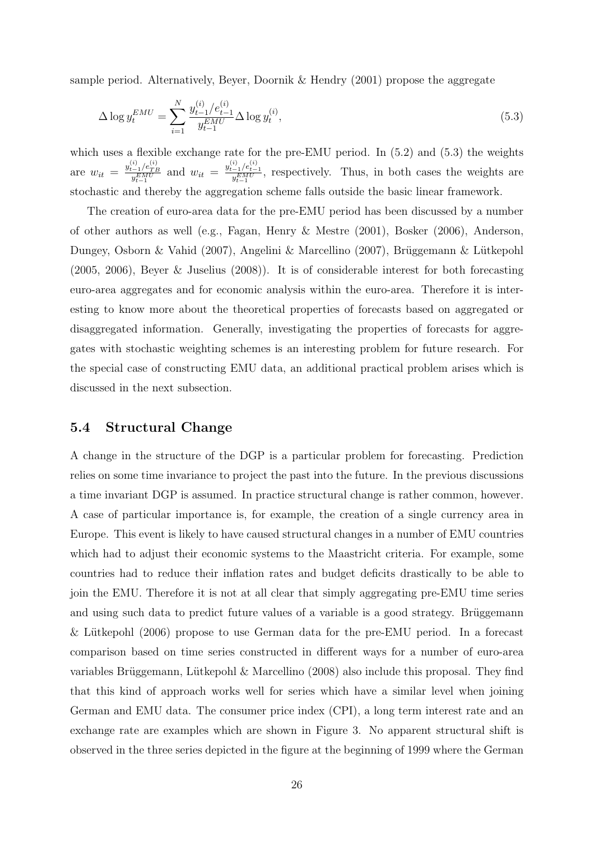sample period. Alternatively, Beyer, Doornik & Hendry (2001) propose the aggregate

$$
\Delta \log y_t^{EMU} = \sum_{i=1}^{N} \frac{y_{t-1}^{(i)}/e_{t-1}^{(i)}}{y_{t-1}^{EMU}} \Delta \log y_t^{(i)},
$$
\n(5.3)

which uses a flexible exchange rate for the pre-EMU period. In  $(5.2)$  and  $(5.3)$  the weights are  $w_{it} = \frac{y_{t-1}^{(i)}/e_{TB}^{(i)}}{y_{t-1}^{EMU}}$  and  $w_{it} = \frac{y_{t-1}^{(i)}/e_{t-1}^{(i)}}{y_{t-1}^{EMU}}$ , respectively. Thus, in both cases the weights are stochastic and thereby the aggregation scheme falls outside the basic linear framework.

The creation of euro-area data for the pre-EMU period has been discussed by a number of other authors as well (e.g., Fagan, Henry & Mestre (2001), Bosker (2006), Anderson, Dungey, Osborn & Vahid (2007), Angelini & Marcellino (2007), Brüggemann & Lütkepohl (2005, 2006), Beyer & Juselius (2008)). It is of considerable interest for both forecasting euro-area aggregates and for economic analysis within the euro-area. Therefore it is interesting to know more about the theoretical properties of forecasts based on aggregated or disaggregated information. Generally, investigating the properties of forecasts for aggregates with stochastic weighting schemes is an interesting problem for future research. For the special case of constructing EMU data, an additional practical problem arises which is discussed in the next subsection.

#### **5.4 Structural Change**

A change in the structure of the DGP is a particular problem for forecasting. Prediction relies on some time invariance to project the past into the future. In the previous discussions a time invariant DGP is assumed. In practice structural change is rather common, however. A case of particular importance is, for example, the creation of a single currency area in Europe. This event is likely to have caused structural changes in a number of EMU countries which had to adjust their economic systems to the Maastricht criteria. For example, some countries had to reduce their inflation rates and budget deficits drastically to be able to join the EMU. Therefore it is not at all clear that simply aggregating pre-EMU time series and using such data to predict future values of a variable is a good strategy. Brüggemann & Lütkepohl  $(2006)$  propose to use German data for the pre-EMU period. In a forecast comparison based on time series constructed in different ways for a number of euro-area variables Brüggemann, Lütkepohl & Marcellino  $(2008)$  also include this proposal. They find that this kind of approach works well for series which have a similar level when joining German and EMU data. The consumer price index (CPI), a long term interest rate and an exchange rate are examples which are shown in Figure 3. No apparent structural shift is observed in the three series depicted in the figure at the beginning of 1999 where the German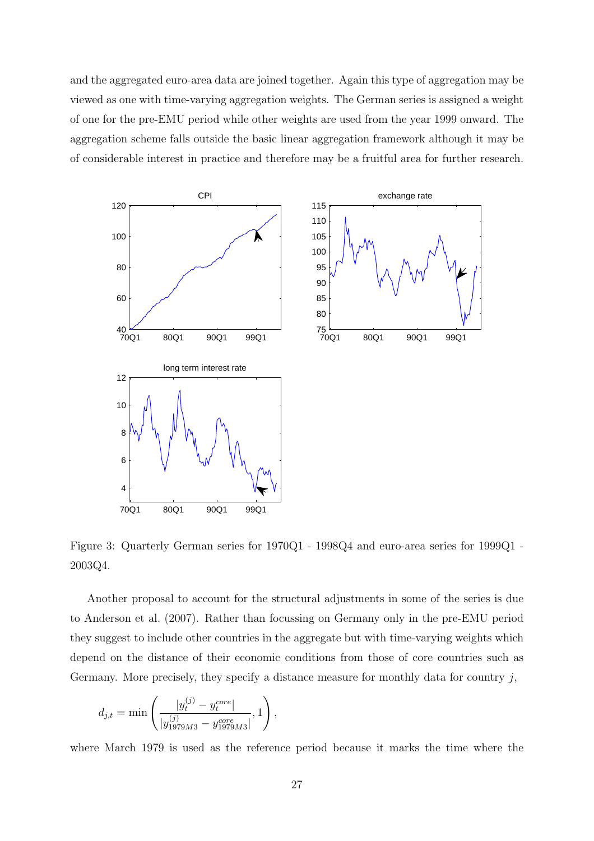and the aggregated euro-area data are joined together. Again this type of aggregation may be viewed as one with time-varying aggregation weights. The German series is assigned a weight of one for the pre-EMU period while other weights are used from the year 1999 onward. The aggregation scheme falls outside the basic linear aggregation framework although it may be of considerable interest in practice and therefore may be a fruitful area for further research.



Figure 3: Quarterly German series for 1970Q1 - 1998Q4 and euro-area series for 1999Q1 - 2003Q4.

Another proposal to account for the structural adjustments in some of the series is due to Anderson et al. (2007). Rather than focussing on Germany only in the pre-EMU period they suggest to include other countries in the aggregate but with time-varying weights which depend on the distance of their economic conditions from those of core countries such as Germany. More precisely, they specify a distance measure for monthly data for country  $j$ ,

$$
d_{j,t} = \min \left( \frac{|y_t^{(j)} - y_t^{core}|}{|y_{1979M3}^{(j)} - y_{1979M3}^{core}|}, 1 \right),
$$

where March 1979 is used as the reference period because it marks the time where the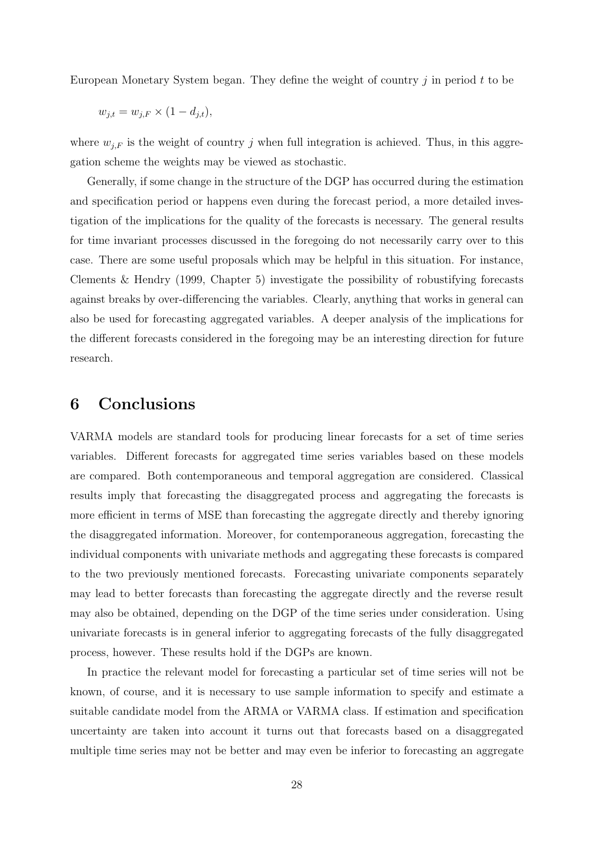European Monetary System began. They define the weight of country j in period t to be

$$
w_{j,t} = w_{j,F} \times (1 - d_{j,t}),
$$

where  $w_{j,F}$  is the weight of country j when full integration is achieved. Thus, in this aggregation scheme the weights may be viewed as stochastic.

Generally, if some change in the structure of the DGP has occurred during the estimation and specification period or happens even during the forecast period, a more detailed investigation of the implications for the quality of the forecasts is necessary. The general results for time invariant processes discussed in the foregoing do not necessarily carry over to this case. There are some useful proposals which may be helpful in this situation. For instance, Clements & Hendry (1999, Chapter 5) investigate the possibility of robustifying forecasts against breaks by over-differencing the variables. Clearly, anything that works in general can also be used for forecasting aggregated variables. A deeper analysis of the implications for the different forecasts considered in the foregoing may be an interesting direction for future research.

## **6 Conclusions**

VARMA models are standard tools for producing linear forecasts for a set of time series variables. Different forecasts for aggregated time series variables based on these models are compared. Both contemporaneous and temporal aggregation are considered. Classical results imply that forecasting the disaggregated process and aggregating the forecasts is more efficient in terms of MSE than forecasting the aggregate directly and thereby ignoring the disaggregated information. Moreover, for contemporaneous aggregation, forecasting the individual components with univariate methods and aggregating these forecasts is compared to the two previously mentioned forecasts. Forecasting univariate components separately may lead to better forecasts than forecasting the aggregate directly and the reverse result may also be obtained, depending on the DGP of the time series under consideration. Using univariate forecasts is in general inferior to aggregating forecasts of the fully disaggregated process, however. These results hold if the DGPs are known.

In practice the relevant model for forecasting a particular set of time series will not be known, of course, and it is necessary to use sample information to specify and estimate a suitable candidate model from the ARMA or VARMA class. If estimation and specification uncertainty are taken into account it turns out that forecasts based on a disaggregated multiple time series may not be better and may even be inferior to forecasting an aggregate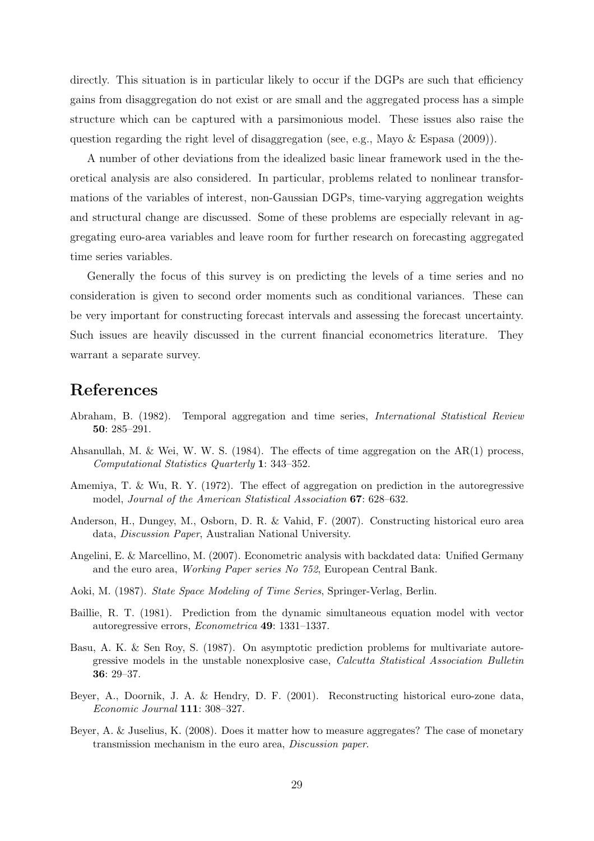directly. This situation is in particular likely to occur if the DGPs are such that efficiency gains from disaggregation do not exist or are small and the aggregated process has a simple structure which can be captured with a parsimonious model. These issues also raise the question regarding the right level of disaggregation (see, e.g., Mayo  $\&$  Espasa (2009)).

A number of other deviations from the idealized basic linear framework used in the theoretical analysis are also considered. In particular, problems related to nonlinear transformations of the variables of interest, non-Gaussian DGPs, time-varying aggregation weights and structural change are discussed. Some of these problems are especially relevant in aggregating euro-area variables and leave room for further research on forecasting aggregated time series variables.

Generally the focus of this survey is on predicting the levels of a time series and no consideration is given to second order moments such as conditional variances. These can be very important for constructing forecast intervals and assessing the forecast uncertainty. Such issues are heavily discussed in the current financial econometrics literature. They warrant a separate survey.

## **References**

- Abraham, B. (1982). Temporal aggregation and time series, International Statistical Review **50**: 285–291.
- Ahsanullah, M. & Wei, W. W. S. (1984). The effects of time aggregation on the AR(1) process, Computational Statistics Quarterly **1**: 343–352.
- Amemiya, T. & Wu, R. Y. (1972). The effect of aggregation on prediction in the autoregressive model, Journal of the American Statistical Association **67**: 628–632.
- Anderson, H., Dungey, M., Osborn, D. R. & Vahid, F. (2007). Constructing historical euro area data, Discussion Paper, Australian National University.
- Angelini, E. & Marcellino, M. (2007). Econometric analysis with backdated data: Unified Germany and the euro area, Working Paper series No 752, European Central Bank.
- Aoki, M. (1987). State Space Modeling of Time Series, Springer-Verlag, Berlin.
- Baillie, R. T. (1981). Prediction from the dynamic simultaneous equation model with vector autoregressive errors, Econometrica **49**: 1331–1337.
- Basu, A. K. & Sen Roy, S. (1987). On asymptotic prediction problems for multivariate autoregressive models in the unstable nonexplosive case, Calcutta Statistical Association Bulletin **36**: 29–37.
- Beyer, A., Doornik, J. A. & Hendry, D. F. (2001). Reconstructing historical euro-zone data, Economic Journal **111**: 308–327.
- Beyer, A. & Juselius, K. (2008). Does it matter how to measure aggregates? The case of monetary transmission mechanism in the euro area, Discussion paper.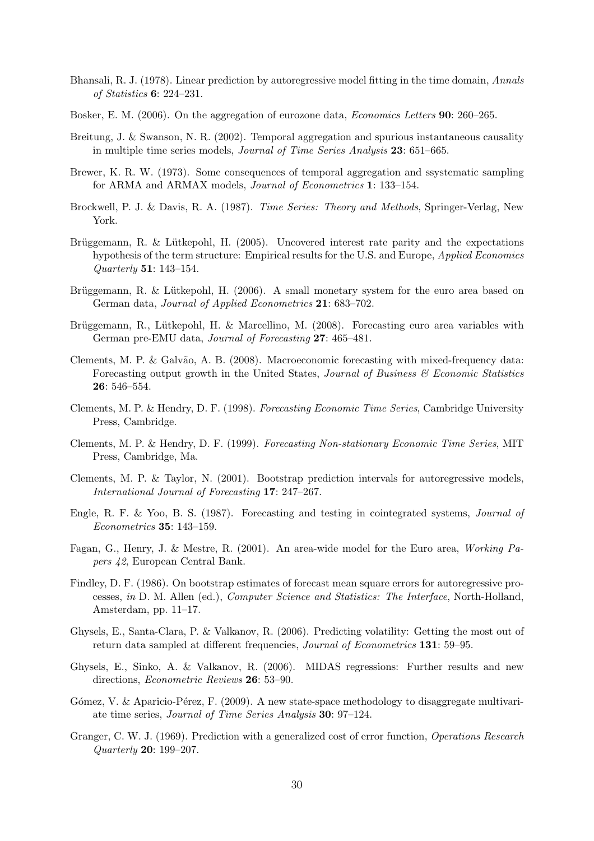- Bhansali, R. J. (1978). Linear prediction by autoregressive model fitting in the time domain, Annals of Statistics **6**: 224–231.
- Bosker, E. M. (2006). On the aggregation of eurozone data, Economics Letters **90**: 260–265.
- Breitung, J. & Swanson, N. R. (2002). Temporal aggregation and spurious instantaneous causality in multiple time series models, Journal of Time Series Analysis **23**: 651–665.
- Brewer, K. R. W. (1973). Some consequences of temporal aggregation and ssystematic sampling for ARMA and ARMAX models, Journal of Econometrics **1**: 133–154.
- Brockwell, P. J. & Davis, R. A. (1987). Time Series: Theory and Methods, Springer-Verlag, New York.
- Brüggemann, R. & Lütkepohl, H. (2005). Uncovered interest rate parity and the expectations hypothesis of the term structure: Empirical results for the U.S. and Europe, *Applied Economics* Quarterly **51**: 143–154.
- Brüggemann, R. & Lütkepohl, H. (2006). A small monetary system for the euro area based on German data, Journal of Applied Econometrics **21**: 683–702.
- Brüggemann, R., Lütkepohl, H. & Marcellino, M. (2008). Forecasting euro area variables with German pre-EMU data, Journal of Forecasting **27**: 465–481.
- Clements, M. P. & Galvão, A. B. (2008). Macroeconomic forecasting with mixed-frequency data: Forecasting output growth in the United States, Journal of Business  $\mathcal C$  Economic Statistics **26**: 546–554.
- Clements, M. P. & Hendry, D. F. (1998). Forecasting Economic Time Series, Cambridge University Press, Cambridge.
- Clements, M. P. & Hendry, D. F. (1999). Forecasting Non-stationary Economic Time Series, MIT Press, Cambridge, Ma.
- Clements, M. P. & Taylor, N. (2001). Bootstrap prediction intervals for autoregressive models, International Journal of Forecasting **17**: 247–267.
- Engle, R. F. & Yoo, B. S. (1987). Forecasting and testing in cointegrated systems, Journal of Econometrics **35**: 143–159.
- Fagan, G., Henry, J. & Mestre, R. (2001). An area-wide model for the Euro area, Working Papers 42, European Central Bank.
- Findley, D. F. (1986). On bootstrap estimates of forecast mean square errors for autoregressive processes, in D. M. Allen (ed.), Computer Science and Statistics: The Interface, North-Holland, Amsterdam, pp. 11–17.
- Ghysels, E., Santa-Clara, P. & Valkanov, R. (2006). Predicting volatility: Getting the most out of return data sampled at different frequencies, Journal of Econometrics **131**: 59–95.
- Ghysels, E., Sinko, A. & Valkanov, R. (2006). MIDAS regressions: Further results and new directions, Econometric Reviews **26**: 53–90.
- Gómez, V. & Aparicio-Pérez, F. (2009). A new state-space methodology to disaggregate multivariate time series, Journal of Time Series Analysis **30**: 97–124.
- Granger, C. W. J. (1969). Prediction with a generalized cost of error function, Operations Research Quarterly **20**: 199–207.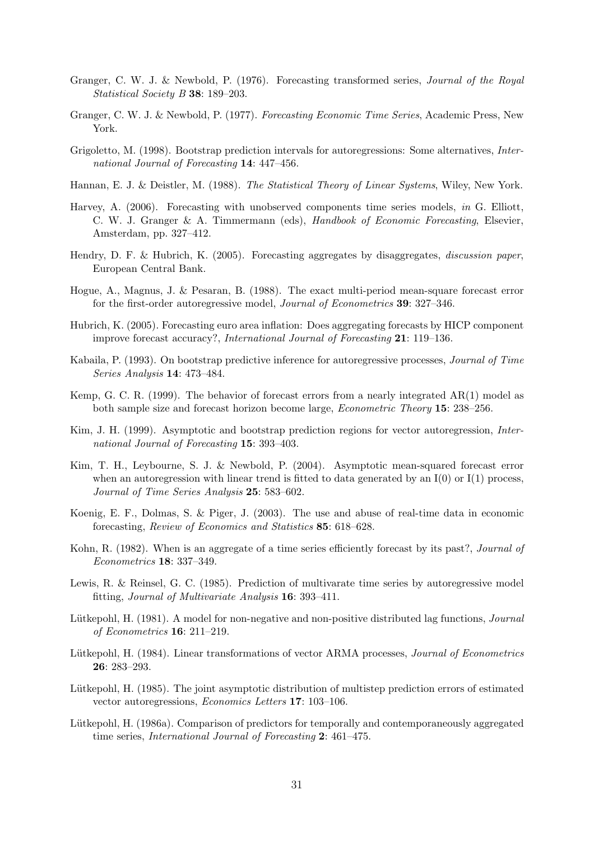- Granger, C. W. J. & Newbold, P. (1976). Forecasting transformed series, Journal of the Royal Statistical Society B **38**: 189–203.
- Granger, C. W. J. & Newbold, P. (1977). Forecasting Economic Time Series, Academic Press, New York.
- Grigoletto, M. (1998). Bootstrap prediction intervals for autoregressions: Some alternatives, International Journal of Forecasting **14**: 447–456.
- Hannan, E. J. & Deistler, M. (1988). The Statistical Theory of Linear Systems, Wiley, New York.
- Harvey, A. (2006). Forecasting with unobserved components time series models, in G. Elliott, C. W. J. Granger & A. Timmermann (eds), Handbook of Economic Forecasting, Elsevier, Amsterdam, pp. 327–412.
- Hendry, D. F. & Hubrich, K. (2005). Forecasting aggregates by disaggregates, discussion paper, European Central Bank.
- Hogue, A., Magnus, J. & Pesaran, B. (1988). The exact multi-period mean-square forecast error for the first-order autoregressive model, Journal of Econometrics **39**: 327–346.
- Hubrich, K. (2005). Forecasting euro area inflation: Does aggregating forecasts by HICP component improve forecast accuracy?, International Journal of Forecasting **21**: 119–136.
- Kabaila, P. (1993). On bootstrap predictive inference for autoregressive processes, Journal of Time Series Analysis **14**: 473–484.
- Kemp, G. C. R. (1999). The behavior of forecast errors from a nearly integrated AR(1) model as both sample size and forecast horizon become large, Econometric Theory **15**: 238–256.
- Kim, J. H. (1999). Asymptotic and bootstrap prediction regions for vector autoregression, International Journal of Forecasting **15**: 393–403.
- Kim, T. H., Leybourne, S. J. & Newbold, P. (2004). Asymptotic mean-squared forecast error when an autoregression with linear trend is fitted to data generated by an  $I(0)$  or  $I(1)$  process, Journal of Time Series Analysis **25**: 583–602.
- Koenig, E. F., Dolmas, S. & Piger, J. (2003). The use and abuse of real-time data in economic forecasting, Review of Economics and Statistics **85**: 618–628.
- Kohn, R. (1982). When is an aggregate of a time series efficiently forecast by its past?, *Journal of* Econometrics **18**: 337–349.
- Lewis, R. & Reinsel, G. C. (1985). Prediction of multivarate time series by autoregressive model fitting, Journal of Multivariate Analysis **16**: 393–411.
- Lütkepohl, H. (1981). A model for non-negative and non-positive distributed lag functions, *Journal* of Econometrics **16**: 211–219.
- Lütkepohl, H. (1984). Linear transformations of vector ARMA processes, *Journal of Econometrics* **26**: 283–293.
- Lütkepohl, H. (1985). The joint asymptotic distribution of multistep prediction errors of estimated vector autoregressions, Economics Letters **17**: 103–106.
- Lütkepohl, H. (1986a). Comparison of predictors for temporally and contemporaneously aggregated time series, International Journal of Forecasting **2**: 461–475.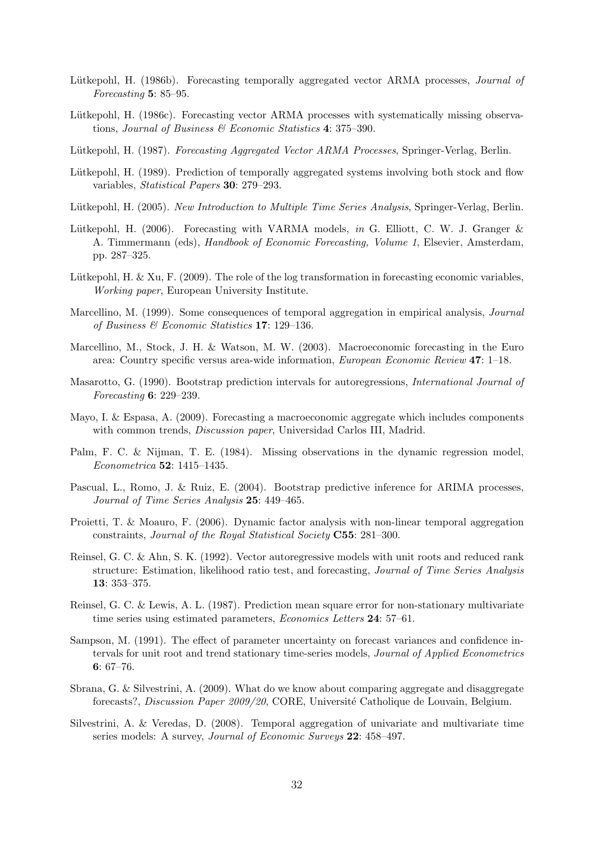- Lütkepohl, H. (1986b). Forecasting temporally aggregated vector ARMA processes, *Journal of* Forecasting **5**: 85–95.
- Lütkepohl, H. (1986c). Forecasting vector ARMA processes with systematically missing observations, Journal of Business & Economic Statistics **4**: 375–390.
- Lütkepohl, H. (1987). Forecasting Aggregated Vector ARMA Processes, Springer-Verlag, Berlin.
- Lütkepohl, H. (1989). Prediction of temporally aggregated systems involving both stock and flow variables, Statistical Papers **30**: 279–293.
- Lütkepohl, H. (2005). New Introduction to Multiple Time Series Analysis, Springer-Verlag, Berlin.
- Lütkepohl, H. (2006). Forecasting with VARMA models, in G. Elliott, C. W. J. Granger  $\&$ A. Timmermann (eds), Handbook of Economic Forecasting, Volume 1, Elsevier, Amsterdam, pp. 287–325.
- Lütkepohl, H. & Xu, F. (2009). The role of the log transformation in forecasting economic variables, Working paper, European University Institute.
- Marcellino, M. (1999). Some consequences of temporal aggregation in empirical analysis, Journal of Business & Economic Statistics **17**: 129–136.
- Marcellino, M., Stock, J. H. & Watson, M. W. (2003). Macroeconomic forecasting in the Euro area: Country specific versus area-wide information, European Economic Review **47**: 1–18.
- Masarotto, G. (1990). Bootstrap prediction intervals for autoregressions, International Journal of Forecasting **6**: 229–239.
- Mayo, I. & Espasa, A. (2009). Forecasting a macroeconomic aggregate which includes components with common trends, *Discussion paper*, Universidad Carlos III, Madrid.
- Palm, F. C. & Nijman, T. E. (1984). Missing observations in the dynamic regression model, Econometrica **52**: 1415–1435.
- Pascual, L., Romo, J. & Ruiz, E. (2004). Bootstrap predictive inference for ARIMA processes, Journal of Time Series Analysis **25**: 449–465.
- Proietti, T. & Moauro, F. (2006). Dynamic factor analysis with non-linear temporal aggregation constraints, Journal of the Royal Statistical Society **C55**: 281–300.
- Reinsel, G. C. & Ahn, S. K. (1992). Vector autoregressive models with unit roots and reduced rank structure: Estimation, likelihood ratio test, and forecasting, *Journal of Time Series Analysis* **13**: 353–375.
- Reinsel, G. C. & Lewis, A. L. (1987). Prediction mean square error for non-stationary multivariate time series using estimated parameters, Economics Letters **24**: 57–61.
- Sampson, M. (1991). The effect of parameter uncertainty on forecast variances and confidence intervals for unit root and trend stationary time-series models, Journal of Applied Econometrics **6**: 67–76.
- Sbrana, G. & Silvestrini, A. (2009). What do we know about comparing aggregate and disaggregate forecasts?, *Discussion Paper 2009/20*, CORE, Université Catholique de Louvain, Belgium.
- Silvestrini, A. & Veredas, D. (2008). Temporal aggregation of univariate and multivariate time series models: A survey, Journal of Economic Surveys **22**: 458–497.